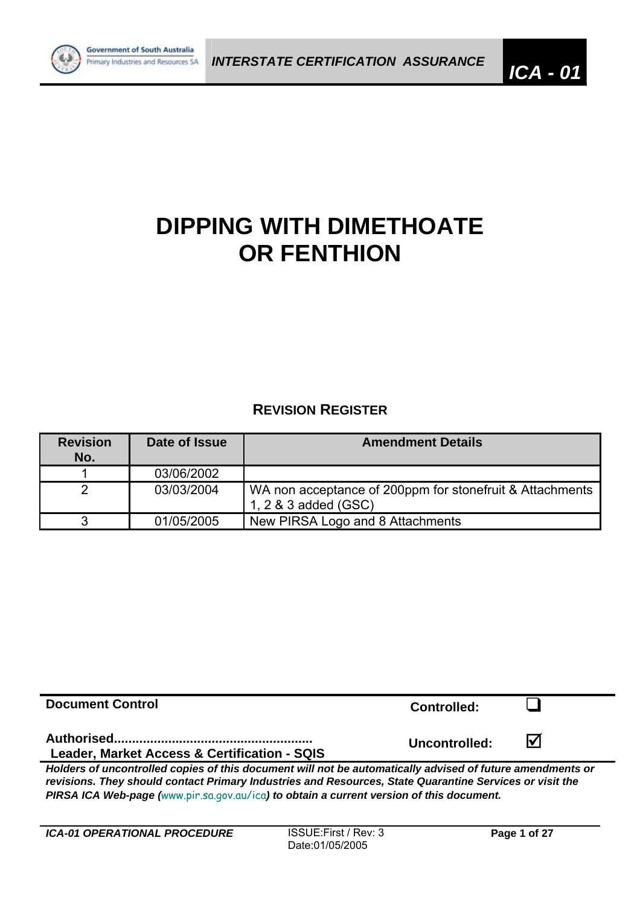

# **DIPPING WITH DIMETHOATE OR FENTHION**

# **REVISION REGISTER**

| <b>Revision</b><br>No. | Date of Issue | <b>Amendment Details</b>                                                         |
|------------------------|---------------|----------------------------------------------------------------------------------|
|                        | 03/06/2002    |                                                                                  |
|                        | 03/03/2004    | WA non acceptance of 200ppm for stonefruit & Attachments<br>1, 2 & 3 added (GSC) |
|                        | 01/05/2005    | New PIRSA Logo and 8 Attachments                                                 |

| <b>Document Control</b>                                                                                   | <b>Controlled:</b> |                         |  |  |  |
|-----------------------------------------------------------------------------------------------------------|--------------------|-------------------------|--|--|--|
| <b>Leader, Market Access &amp; Certification - SQIS</b>                                                   | Uncontrolled:      | $\overline{\mathsf{M}}$ |  |  |  |
| Holders of uncontrolled copies of this document will not be automatically advised of future amendments or |                    |                         |  |  |  |

*revisions. They should contact Primary Industries and Resources, State Quarantine Services or visit the PIRSA ICA Web-page (*www.pir.sa.gov.au/ica*) to obtain a current version of this document.*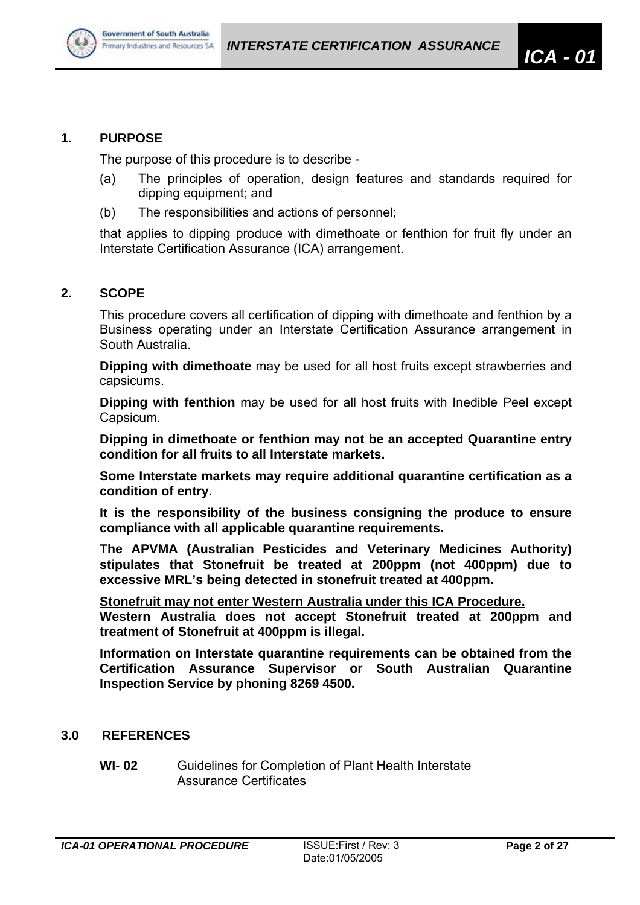

#### **1. PURPOSE**

The purpose of this procedure is to describe -

- (a) The principles of operation, design features and standards required for dipping equipment; and
- (b) The responsibilities and actions of personnel;

that applies to dipping produce with dimethoate or fenthion for fruit fly under an Interstate Certification Assurance (ICA) arrangement.

## **2. SCOPE**

This procedure covers all certification of dipping with dimethoate and fenthion by a Business operating under an Interstate Certification Assurance arrangement in South Australia.

**Dipping with dimethoate** may be used for all host fruits except strawberries and capsicums.

**Dipping with fenthion** may be used for all host fruits with Inedible Peel except Capsicum.

**Dipping in dimethoate or fenthion may not be an accepted Quarantine entry condition for all fruits to all Interstate markets.** 

**Some Interstate markets may require additional quarantine certification as a condition of entry.**

**It is the responsibility of the business consigning the produce to ensure compliance with all applicable quarantine requirements.** 

**The APVMA (Australian Pesticides and Veterinary Medicines Authority) stipulates that Stonefruit be treated at 200ppm (not 400ppm) due to excessive MRL's being detected in stonefruit treated at 400ppm.** 

**Stonefruit may not enter Western Australia under this ICA Procedure.**

**Western Australia does not accept Stonefruit treated at 200ppm and treatment of Stonefruit at 400ppm is illegal.** 

**Information on Interstate quarantine requirements can be obtained from the Certification Assurance Supervisor or South Australian Quarantine Inspection Service by phoning 8269 4500.** 

# **3.0 REFERENCES**

**WI- 02** Guidelines for Completion of Plant Health Interstate Assurance Certificates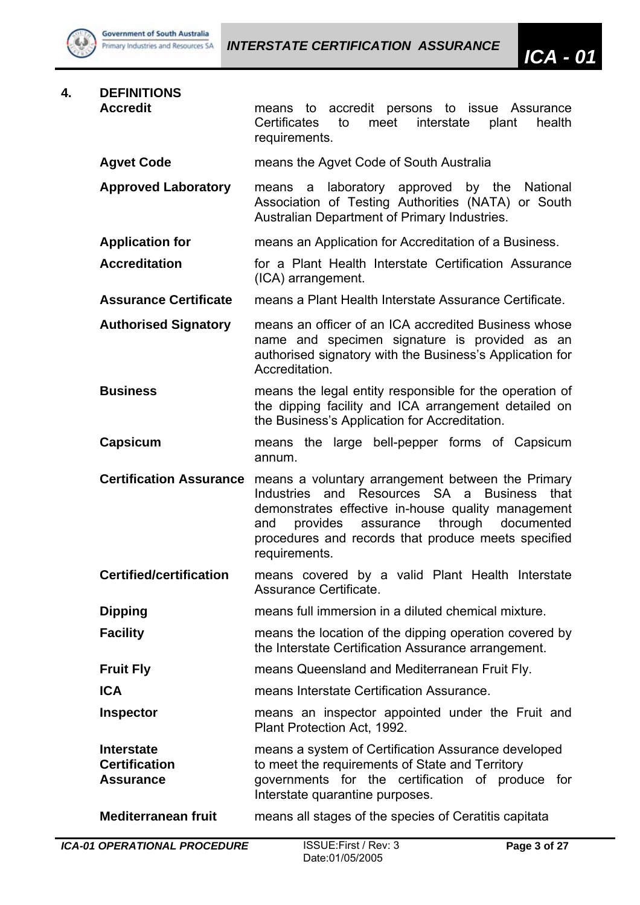

# **4. DEFINITIONS**

**Accredit** means to accredit persons to issue Assurance Certificates to meet interstate plant health requirements.

**Agvet Code** means the Agvet Code of South Australia

**Approved Laboratory** means a laboratory approved by the National Association of Testing Authorities (NATA) or South Australian Department of Primary Industries.

- **Application for** means an Application for Accreditation of a Business.
- **Accreditation** for a Plant Health Interstate Certification Assurance (ICA) arrangement.
- **Assurance Certificate** means a Plant Health Interstate Assurance Certificate.
- **Authorised Signatory** means an officer of an ICA accredited Business whose name and specimen signature is provided as an authorised signatory with the Business's Application for Accreditation.
- **Business** means the legal entity responsible for the operation of the dipping facility and ICA arrangement detailed on the Business's Application for Accreditation.
- **Capsicum** means the large bell-pepper forms of Capsicum annum.
- **Certification Assurance** means a voluntary arrangement between the Primary Industries and Resources SA a Business that demonstrates effective in-house quality management and provides assurance through documented procedures and records that produce meets specified requirements.
- **Certified/certification** means covered by a valid Plant Health Interstate Assurance Certificate.
- **Dipping neans full immersion in a diluted chemical mixture.**
- **Facility** means the location of the dipping operation covered by the Interstate Certification Assurance arrangement.
- **Fruit Fly Example 20** means Queensland and Mediterranean Fruit Fly.
- **ICA means Interstate Certification Assurance**
- **Inspector EXECUTE:** means an inspector appointed under the Fruit and Plant Protection Act, 1992.
- **Interstate means a system of Certification Assurance developed Certification to meet the requirements of State and Territory Assurance** governments for the certification of produce for Interstate quarantine purposes.
- **Mediterranean fruit** means all stages of the species of Ceratitis capitata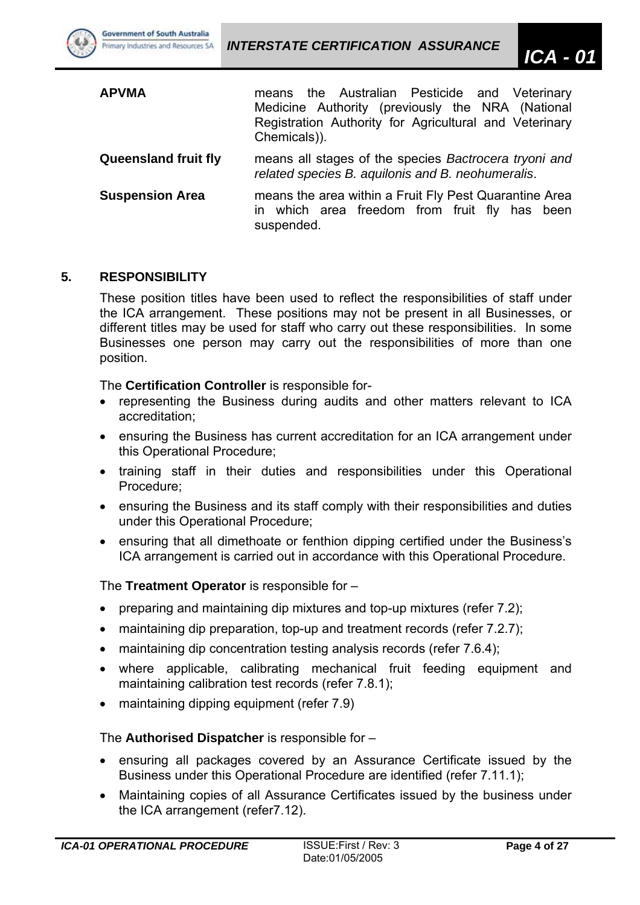| <b>APVMA</b>                | means the Australian Pesticide and Veterinary<br>Medicine Authority (previously the NRA (National<br>Registration Authority for Agricultural and Veterinary<br>Chemicals)). |  |  |  |  |  |
|-----------------------------|-----------------------------------------------------------------------------------------------------------------------------------------------------------------------------|--|--|--|--|--|
| <b>Queensland fruit fly</b> | means all stages of the species Bactrocera tryoni and<br>related species B. aquilonis and B. neohumeralis.                                                                  |  |  |  |  |  |
| <b>Suspension Area</b>      | means the area within a Fruit Fly Pest Quarantine Area<br>in which area freedom from fruit fly has been<br>suspended.                                                       |  |  |  |  |  |

#### **5. RESPONSIBILITY**

**Government of South Australia** Primary Industries and Resources SA

These position titles have been used to reflect the responsibilities of staff under the ICA arrangement. These positions may not be present in all Businesses, or different titles may be used for staff who carry out these responsibilities. In some Businesses one person may carry out the responsibilities of more than one position.

The **Certification Controller** is responsible for-

- representing the Business during audits and other matters relevant to ICA accreditation;
- ensuring the Business has current accreditation for an ICA arrangement under this Operational Procedure;
- training staff in their duties and responsibilities under this Operational Procedure;
- ensuring the Business and its staff comply with their responsibilities and duties under this Operational Procedure;
- ensuring that all dimethoate or fenthion dipping certified under the Business's ICA arrangement is carried out in accordance with this Operational Procedure.

The **Treatment Operator** is responsible for –

- preparing and maintaining dip mixtures and top-up mixtures (refer 7.2);
- maintaining dip preparation, top-up and treatment records (refer 7.2.7);
- maintaining dip concentration testing analysis records (refer 7.6.4);
- where applicable, calibrating mechanical fruit feeding equipment and maintaining calibration test records (refer 7.8.1);
- maintaining dipping equipment (refer 7.9)

The **Authorised Dispatcher** is responsible for –

- ensuring all packages covered by an Assurance Certificate issued by the Business under this Operational Procedure are identified (refer 7.11.1);
- Maintaining copies of all Assurance Certificates issued by the business under the ICA arrangement (refer7.12).

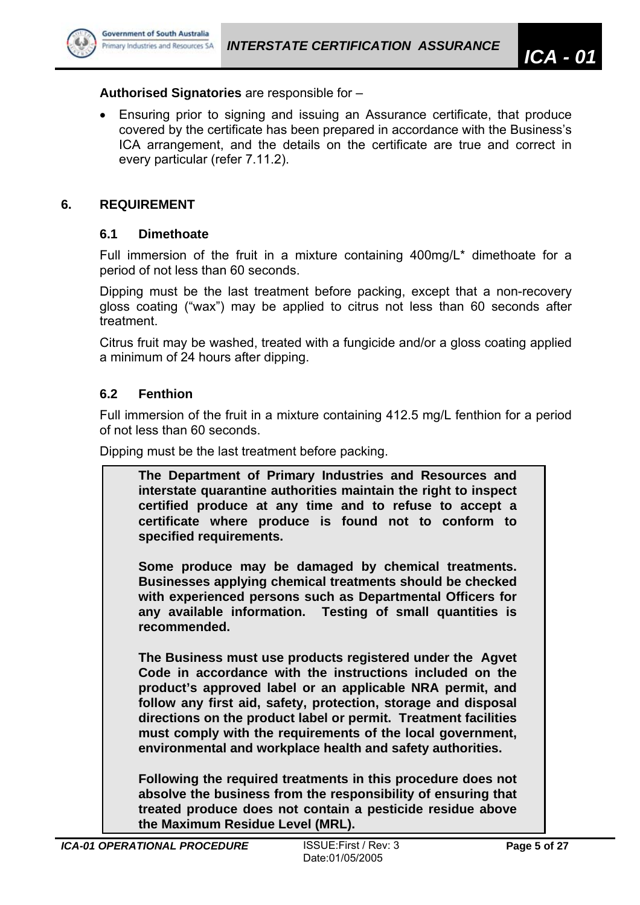

#### **Authorised Signatories** are responsible for –

• Ensuring prior to signing and issuing an Assurance certificate, that produce covered by the certificate has been prepared in accordance with the Business's ICA arrangement, and the details on the certificate are true and correct in every particular (refer 7.11.2).

#### **6. REQUIREMENT**

#### **6.1 Dimethoate**

Full immersion of the fruit in a mixture containing 400mg/L\* dimethoate for a period of not less than 60 seconds.

Dipping must be the last treatment before packing, except that a non-recovery gloss coating ("wax") may be applied to citrus not less than 60 seconds after treatment.

Citrus fruit may be washed, treated with a fungicide and/or a gloss coating applied a minimum of 24 hours after dipping.

#### **6.2 Fenthion**

Full immersion of the fruit in a mixture containing 412.5 mg/L fenthion for a period of not less than 60 seconds.

Dipping must be the last treatment before packing.

| The Department of Primary Industries and Resources and          |
|-----------------------------------------------------------------|
| interstate quarantine authorities maintain the right to inspect |
| certified produce at any time and to refuse to accept a         |
| certificate where produce is found not to conform to            |
| specified requirements.                                         |
|                                                                 |
| Some produce may be damaged by chemical treatments.             |
| Businesses applying chemical treatments should be checked       |

**with experienced persons such as Departmental Officers for any available information. Testing of small quantities is recommended.** 

**The Business must use products registered under the Agvet Code in accordance with the instructions included on the product's approved label or an applicable NRA permit, and follow any first aid, safety, protection, storage and disposal directions on the product label or permit. Treatment facilities must comply with the requirements of the local government, environmental and workplace health and safety authorities.** 

**Following the required treatments in this procedure does not absolve the business from the responsibility of ensuring that treated produce does not contain a pesticide residue above the Maximum Residue Level (MRL).**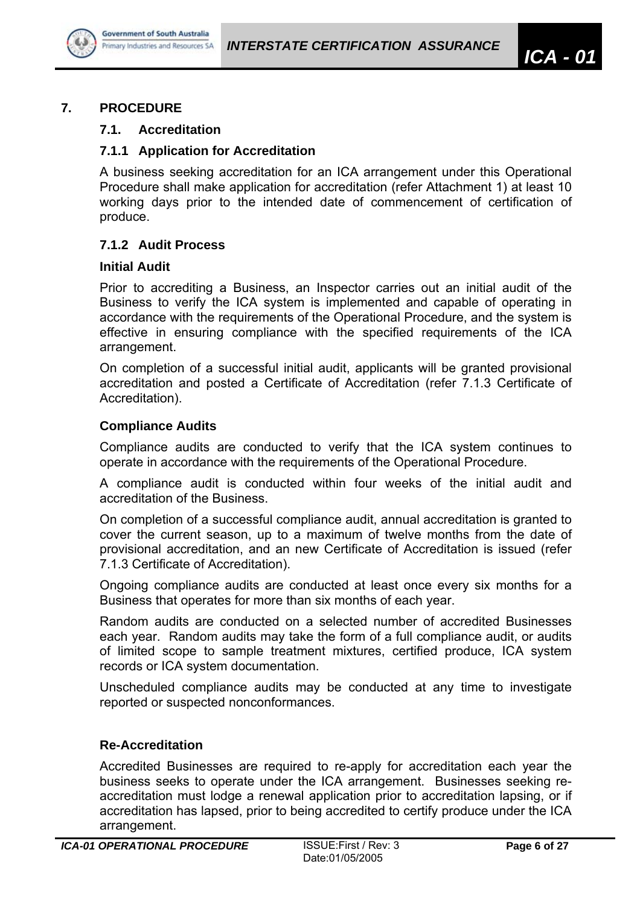

## **7.1. Accreditation**

## **7.1.1 Application for Accreditation**

A business seeking accreditation for an ICA arrangement under this Operational Procedure shall make application for accreditation (refer Attachment 1) at least 10 working days prior to the intended date of commencement of certification of produce.

## **7.1.2 Audit Process**

#### **Initial Audit**

Prior to accrediting a Business, an Inspector carries out an initial audit of the Business to verify the ICA system is implemented and capable of operating in accordance with the requirements of the Operational Procedure, and the system is effective in ensuring compliance with the specified requirements of the ICA arrangement.

On completion of a successful initial audit, applicants will be granted provisional accreditation and posted a Certificate of Accreditation (refer 7.1.3 Certificate of Accreditation).

## **Compliance Audits**

Compliance audits are conducted to verify that the ICA system continues to operate in accordance with the requirements of the Operational Procedure.

A compliance audit is conducted within four weeks of the initial audit and accreditation of the Business.

On completion of a successful compliance audit, annual accreditation is granted to cover the current season, up to a maximum of twelve months from the date of provisional accreditation, and an new Certificate of Accreditation is issued (refer 7.1.3 Certificate of Accreditation).

Ongoing compliance audits are conducted at least once every six months for a Business that operates for more than six months of each year.

Random audits are conducted on a selected number of accredited Businesses each year. Random audits may take the form of a full compliance audit, or audits of limited scope to sample treatment mixtures, certified produce, ICA system records or ICA system documentation.

Unscheduled compliance audits may be conducted at any time to investigate reported or suspected nonconformances.

#### **Re-Accreditation**

Accredited Businesses are required to re-apply for accreditation each year the business seeks to operate under the ICA arrangement. Businesses seeking reaccreditation must lodge a renewal application prior to accreditation lapsing, or if accreditation has lapsed, prior to being accredited to certify produce under the ICA arrangement.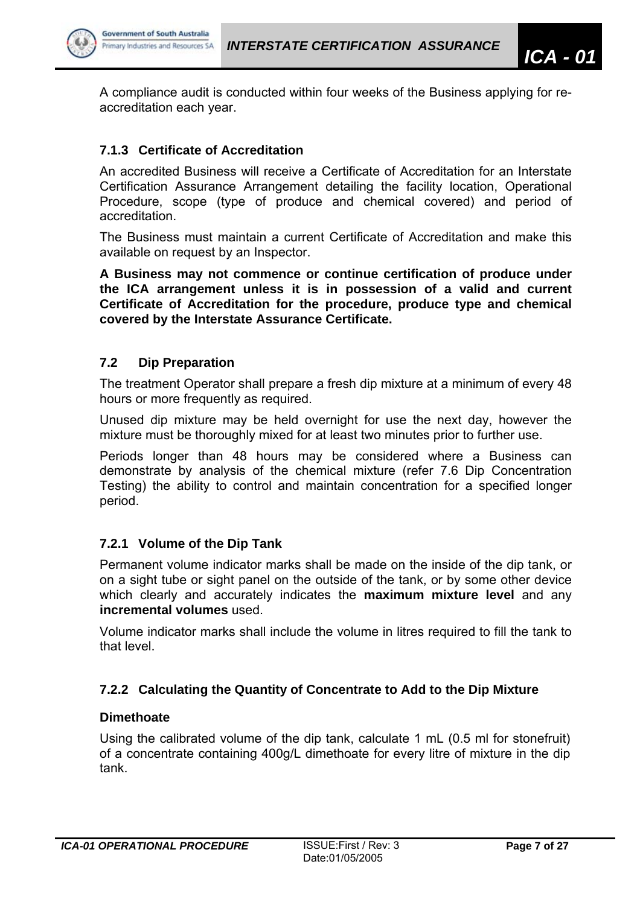



A compliance audit is conducted within four weeks of the Business applying for reaccreditation each year.

#### **7.1.3 Certificate of Accreditation**

An accredited Business will receive a Certificate of Accreditation for an Interstate Certification Assurance Arrangement detailing the facility location, Operational Procedure, scope (type of produce and chemical covered) and period of accreditation.

The Business must maintain a current Certificate of Accreditation and make this available on request by an Inspector.

**A Business may not commence or continue certification of produce under the ICA arrangement unless it is in possession of a valid and current Certificate of Accreditation for the procedure, produce type and chemical covered by the Interstate Assurance Certificate.** 

#### **7.2 Dip Preparation**

The treatment Operator shall prepare a fresh dip mixture at a minimum of every 48 hours or more frequently as required.

Unused dip mixture may be held overnight for use the next day, however the mixture must be thoroughly mixed for at least two minutes prior to further use.

Periods longer than 48 hours may be considered where a Business can demonstrate by analysis of the chemical mixture (refer 7.6 Dip Concentration Testing) the ability to control and maintain concentration for a specified longer period.

#### **7.2.1 Volume of the Dip Tank**

Permanent volume indicator marks shall be made on the inside of the dip tank, or on a sight tube or sight panel on the outside of the tank, or by some other device which clearly and accurately indicates the **maximum mixture level** and any **incremental volumes** used.

Volume indicator marks shall include the volume in litres required to fill the tank to that level.

#### **7.2.2 Calculating the Quantity of Concentrate to Add to the Dip Mixture**

#### **Dimethoate**

Using the calibrated volume of the dip tank, calculate 1 mL (0.5 ml for stonefruit) of a concentrate containing 400g/L dimethoate for every litre of mixture in the dip tank.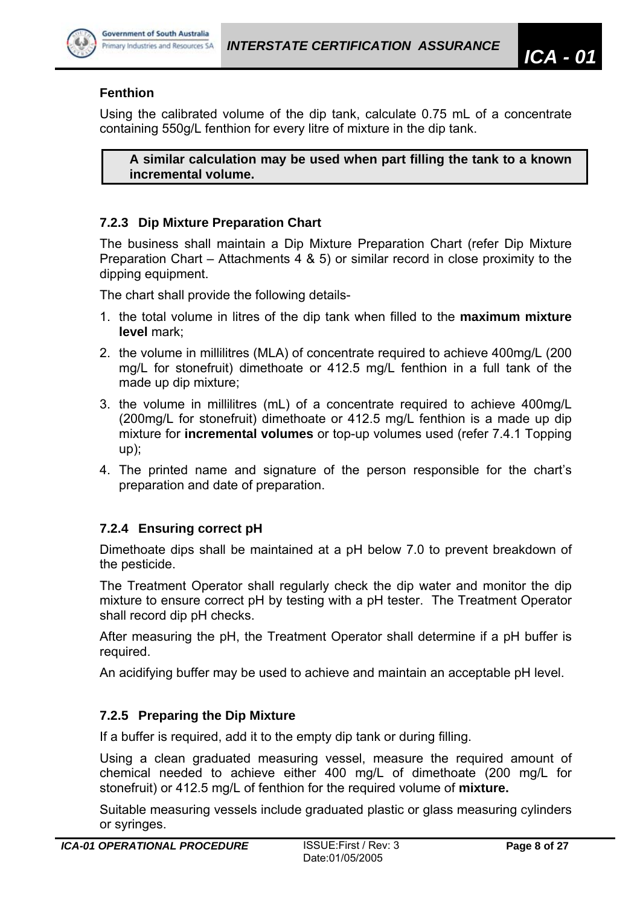

# **Fenthion**

Using the calibrated volume of the dip tank, calculate 0.75 mL of a concentrate containing 550g/L fenthion for every litre of mixture in the dip tank.

**A similar calculation may be used when part filling the tank to a known incremental volume.** 

#### **7.2.3 Dip Mixture Preparation Chart**

The business shall maintain a Dip Mixture Preparation Chart (refer Dip Mixture Preparation Chart – Attachments 4 & 5) or similar record in close proximity to the dipping equipment.

The chart shall provide the following details-

- 1. the total volume in litres of the dip tank when filled to the **maximum mixture level** mark;
- 2. the volume in millilitres (MLA) of concentrate required to achieve 400mg/L (200 mg/L for stonefruit) dimethoate or 412.5 mg/L fenthion in a full tank of the made up dip mixture;
- 3. the volume in millilitres (mL) of a concentrate required to achieve 400mg/L (200mg/L for stonefruit) dimethoate or 412.5 mg/L fenthion is a made up dip mixture for **incremental volumes** or top-up volumes used (refer 7.4.1 Topping up);
- 4. The printed name and signature of the person responsible for the chart's preparation and date of preparation.

# **7.2.4 Ensuring correct pH**

Dimethoate dips shall be maintained at a pH below 7.0 to prevent breakdown of the pesticide.

The Treatment Operator shall regularly check the dip water and monitor the dip mixture to ensure correct pH by testing with a pH tester. The Treatment Operator shall record dip pH checks.

After measuring the pH, the Treatment Operator shall determine if a pH buffer is required.

An acidifying buffer may be used to achieve and maintain an acceptable pH level.

#### **7.2.5 Preparing the Dip Mixture**

If a buffer is required, add it to the empty dip tank or during filling.

Using a clean graduated measuring vessel, measure the required amount of chemical needed to achieve either 400 mg/L of dimethoate (200 mg/L for stonefruit) or 412.5 mg/L of fenthion for the required volume of **mixture.** 

Suitable measuring vessels include graduated plastic or glass measuring cylinders or syringes.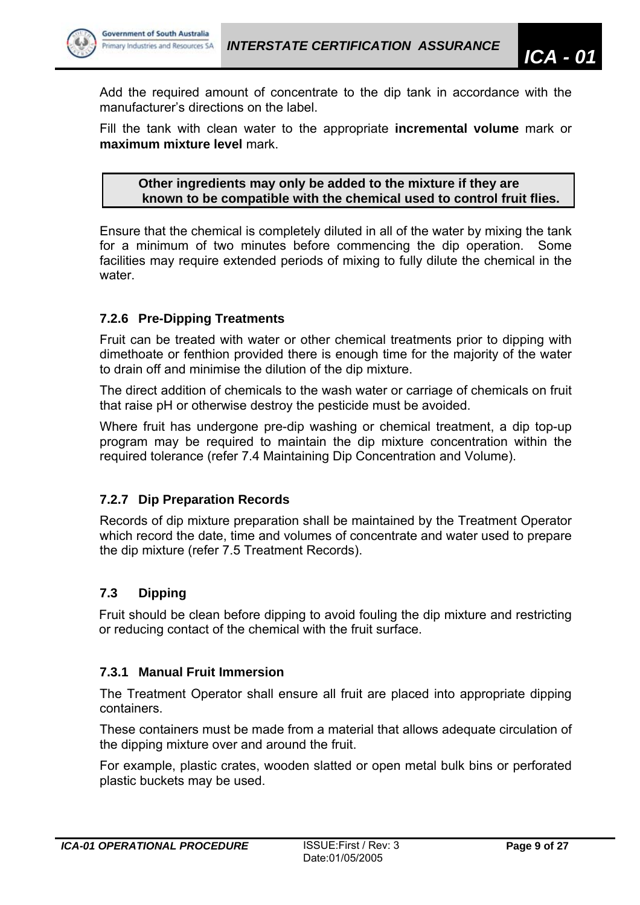

Add the required amount of concentrate to the dip tank in accordance with the manufacturer's directions on the label.

Fill the tank with clean water to the appropriate **incremental volume** mark or **maximum mixture level** mark.

**Other ingredients may only be added to the mixture if they are known to be compatible with the chemical used to control fruit flies.** 

Ensure that the chemical is completely diluted in all of the water by mixing the tank for a minimum of two minutes before commencing the dip operation. Some facilities may require extended periods of mixing to fully dilute the chemical in the water

# **7.2.6 Pre-Dipping Treatments**

Fruit can be treated with water or other chemical treatments prior to dipping with dimethoate or fenthion provided there is enough time for the majority of the water to drain off and minimise the dilution of the dip mixture.

The direct addition of chemicals to the wash water or carriage of chemicals on fruit that raise pH or otherwise destroy the pesticide must be avoided.

Where fruit has undergone pre-dip washing or chemical treatment, a dip top-up program may be required to maintain the dip mixture concentration within the required tolerance (refer 7.4 Maintaining Dip Concentration and Volume).

#### **7.2.7 Dip Preparation Records**

Records of dip mixture preparation shall be maintained by the Treatment Operator which record the date, time and volumes of concentrate and water used to prepare the dip mixture (refer 7.5 Treatment Records).

# **7.3 Dipping**

Fruit should be clean before dipping to avoid fouling the dip mixture and restricting or reducing contact of the chemical with the fruit surface.

#### **7.3.1 Manual Fruit Immersion**

The Treatment Operator shall ensure all fruit are placed into appropriate dipping containers.

These containers must be made from a material that allows adequate circulation of the dipping mixture over and around the fruit.

For example, plastic crates, wooden slatted or open metal bulk bins or perforated plastic buckets may be used.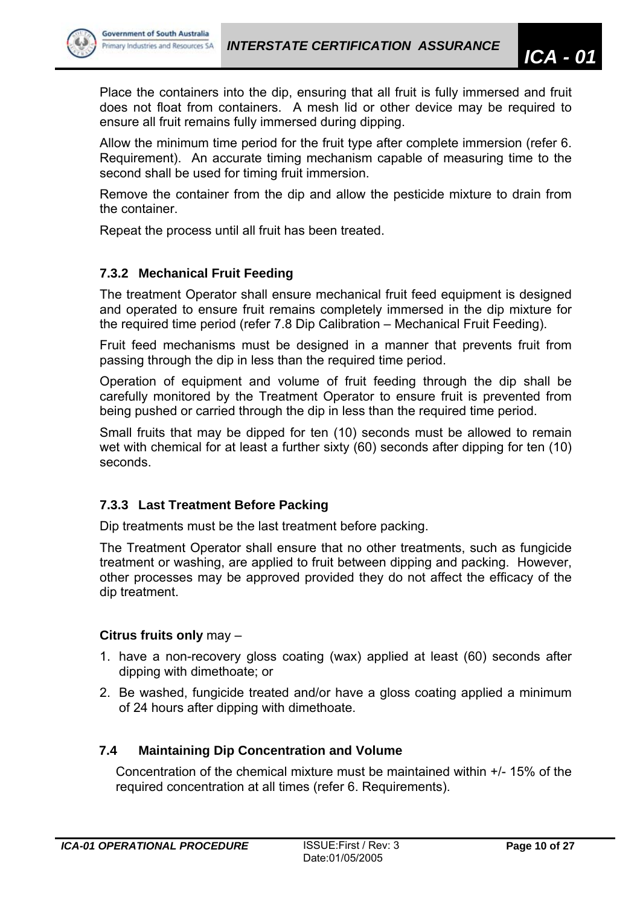

Place the containers into the dip, ensuring that all fruit is fully immersed and fruit does not float from containers. A mesh lid or other device may be required to ensure all fruit remains fully immersed during dipping.

Allow the minimum time period for the fruit type after complete immersion (refer 6. Requirement). An accurate timing mechanism capable of measuring time to the second shall be used for timing fruit immersion.

Remove the container from the dip and allow the pesticide mixture to drain from the container.

Repeat the process until all fruit has been treated.

# **7.3.2 Mechanical Fruit Feeding**

The treatment Operator shall ensure mechanical fruit feed equipment is designed and operated to ensure fruit remains completely immersed in the dip mixture for the required time period (refer 7.8 Dip Calibration – Mechanical Fruit Feeding).

Fruit feed mechanisms must be designed in a manner that prevents fruit from passing through the dip in less than the required time period.

Operation of equipment and volume of fruit feeding through the dip shall be carefully monitored by the Treatment Operator to ensure fruit is prevented from being pushed or carried through the dip in less than the required time period.

Small fruits that may be dipped for ten (10) seconds must be allowed to remain wet with chemical for at least a further sixty (60) seconds after dipping for ten (10) seconds.

# **7.3.3 Last Treatment Before Packing**

Dip treatments must be the last treatment before packing.

The Treatment Operator shall ensure that no other treatments, such as fungicide treatment or washing, are applied to fruit between dipping and packing. However, other processes may be approved provided they do not affect the efficacy of the dip treatment.

# **Citrus fruits only** may –

- 1. have a non-recovery gloss coating (wax) applied at least (60) seconds after dipping with dimethoate; or
- 2. Be washed, fungicide treated and/or have a gloss coating applied a minimum of 24 hours after dipping with dimethoate.

# **7.4 Maintaining Dip Concentration and Volume**

Concentration of the chemical mixture must be maintained within +/- 15% of the required concentration at all times (refer 6. Requirements).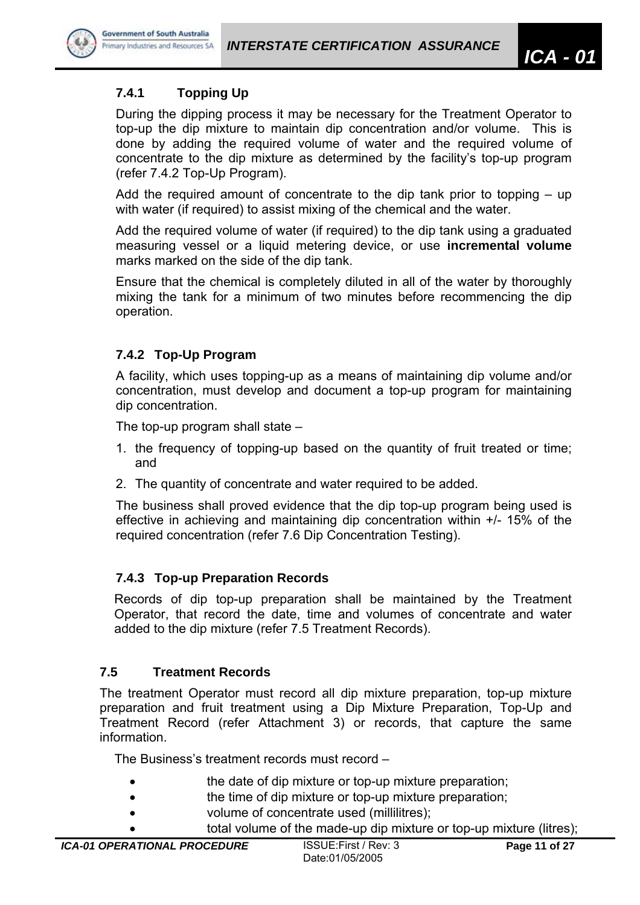

**Government of South Australia** 

# **7.4.1 Topping Up**

During the dipping process it may be necessary for the Treatment Operator to top-up the dip mixture to maintain dip concentration and/or volume. This is done by adding the required volume of water and the required volume of concentrate to the dip mixture as determined by the facility's top-up program (refer 7.4.2 Top-Up Program).

Add the required amount of concentrate to the dip tank prior to topping – up with water (if required) to assist mixing of the chemical and the water.

Add the required volume of water (if required) to the dip tank using a graduated measuring vessel or a liquid metering device, or use **incremental volume** marks marked on the side of the dip tank.

Ensure that the chemical is completely diluted in all of the water by thoroughly mixing the tank for a minimum of two minutes before recommencing the dip operation.

# **7.4.2 Top-Up Program**

A facility, which uses topping-up as a means of maintaining dip volume and/or concentration, must develop and document a top-up program for maintaining dip concentration.

The top-up program shall state –

- 1. the frequency of topping-up based on the quantity of fruit treated or time; and
- 2. The quantity of concentrate and water required to be added.

The business shall proved evidence that the dip top-up program being used is effective in achieving and maintaining dip concentration within +/- 15% of the required concentration (refer 7.6 Dip Concentration Testing).

# **7.4.3 Top-up Preparation Records**

Records of dip top-up preparation shall be maintained by the Treatment Operator, that record the date, time and volumes of concentrate and water added to the dip mixture (refer 7.5 Treatment Records).

# **7.5 Treatment Records**

The treatment Operator must record all dip mixture preparation, top-up mixture preparation and fruit treatment using a Dip Mixture Preparation, Top-Up and Treatment Record (refer Attachment 3) or records, that capture the same information.

The Business's treatment records must record –

- **the date of dip mixture or top-up mixture preparation;**
- the time of dip mixture or top-up mixture preparation:
- volume of concentrate used (millilitres);

total volume of the made-up dip mixture or top-up mixture (litres);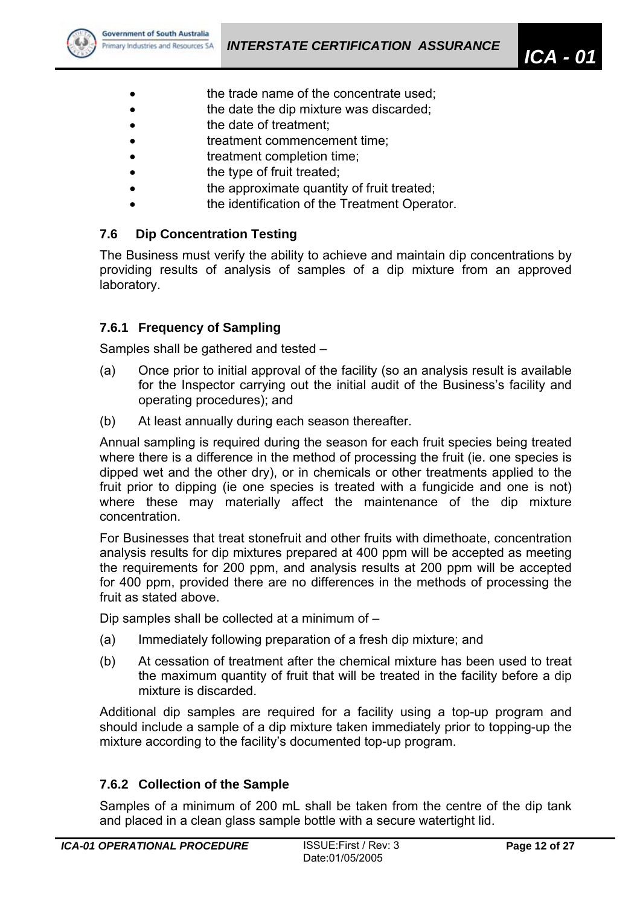

- the trade name of the concentrate used;
- **the date the dip mixture was discarded;**
- **the date of treatment:**
- **treatment commencement time;**
- treatment completion time;
- the type of fruit treated;
- **the approximate quantity of fruit treated;**
- the identification of the Treatment Operator.

# **7.6 Dip Concentration Testing**

The Business must verify the ability to achieve and maintain dip concentrations by providing results of analysis of samples of a dip mixture from an approved laboratory.

# **7.6.1 Frequency of Sampling**

Samples shall be gathered and tested –

- (a) Once prior to initial approval of the facility (so an analysis result is available for the Inspector carrying out the initial audit of the Business's facility and operating procedures); and
- (b) At least annually during each season thereafter.

Annual sampling is required during the season for each fruit species being treated where there is a difference in the method of processing the fruit (ie. one species is dipped wet and the other dry), or in chemicals or other treatments applied to the fruit prior to dipping (ie one species is treated with a fungicide and one is not) where these may materially affect the maintenance of the dip mixture concentration.

For Businesses that treat stonefruit and other fruits with dimethoate, concentration analysis results for dip mixtures prepared at 400 ppm will be accepted as meeting the requirements for 200 ppm, and analysis results at 200 ppm will be accepted for 400 ppm, provided there are no differences in the methods of processing the fruit as stated above.

Dip samples shall be collected at a minimum of –

- (a) Immediately following preparation of a fresh dip mixture; and
- (b) At cessation of treatment after the chemical mixture has been used to treat the maximum quantity of fruit that will be treated in the facility before a dip mixture is discarded.

Additional dip samples are required for a facility using a top-up program and should include a sample of a dip mixture taken immediately prior to topping-up the mixture according to the facility's documented top-up program.

# **7.6.2 Collection of the Sample**

Samples of a minimum of 200 mL shall be taken from the centre of the dip tank and placed in a clean glass sample bottle with a secure watertight lid.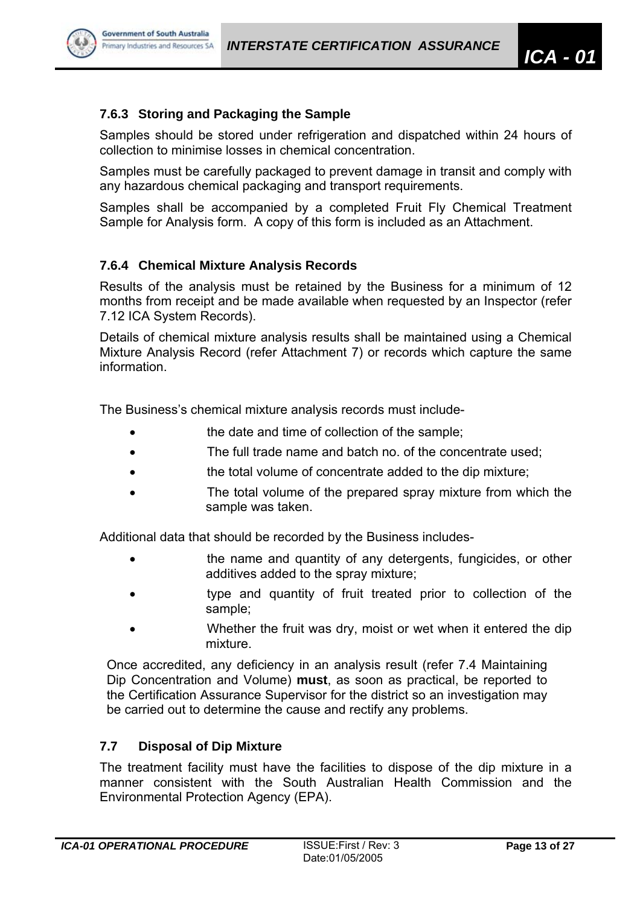

# **7.6.3 Storing and Packaging the Sample**

Samples should be stored under refrigeration and dispatched within 24 hours of collection to minimise losses in chemical concentration.

Samples must be carefully packaged to prevent damage in transit and comply with any hazardous chemical packaging and transport requirements.

Samples shall be accompanied by a completed Fruit Fly Chemical Treatment Sample for Analysis form. A copy of this form is included as an Attachment.

# **7.6.4 Chemical Mixture Analysis Records**

Results of the analysis must be retained by the Business for a minimum of 12 months from receipt and be made available when requested by an Inspector (refer 7.12 ICA System Records).

Details of chemical mixture analysis results shall be maintained using a Chemical Mixture Analysis Record (refer Attachment 7) or records which capture the same information.

The Business's chemical mixture analysis records must include-

- **the date and time of collection of the sample:**
- The full trade name and batch no. of the concentrate used:
- **the total volume of concentrate added to the dip mixture:**
- The total volume of the prepared spray mixture from which the sample was taken.

Additional data that should be recorded by the Business includes-

- **the name and quantity of any detergents, fungicides, or other** additives added to the spray mixture;
- type and quantity of fruit treated prior to collection of the sample;
- Whether the fruit was dry, moist or wet when it entered the dip mixture.

Once accredited, any deficiency in an analysis result (refer 7.4 Maintaining Dip Concentration and Volume) **must**, as soon as practical, be reported to the Certification Assurance Supervisor for the district so an investigation may be carried out to determine the cause and rectify any problems.

# **7.7 Disposal of Dip Mixture**

The treatment facility must have the facilities to dispose of the dip mixture in a manner consistent with the South Australian Health Commission and the Environmental Protection Agency (EPA).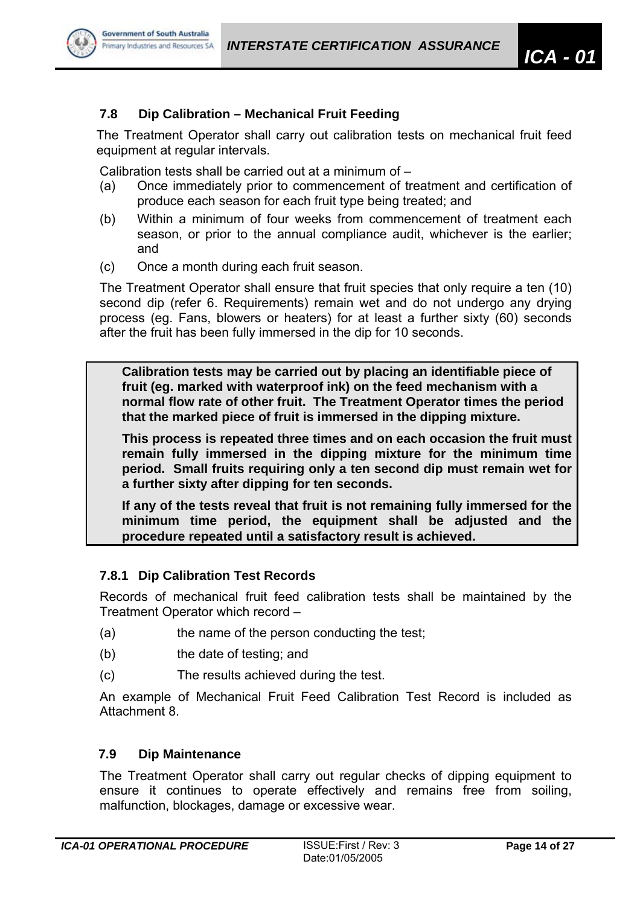

The Treatment Operator shall carry out calibration tests on mechanical fruit feed equipment at regular intervals.

Calibration tests shall be carried out at a minimum of –

- (a) Once immediately prior to commencement of treatment and certification of produce each season for each fruit type being treated; and
- (b) Within a minimum of four weeks from commencement of treatment each season, or prior to the annual compliance audit, whichever is the earlier; and
- (c) Once a month during each fruit season.

The Treatment Operator shall ensure that fruit species that only require a ten (10) second dip (refer 6. Requirements) remain wet and do not undergo any drying process (eg. Fans, blowers or heaters) for at least a further sixty (60) seconds after the fruit has been fully immersed in the dip for 10 seconds.

**Calibration tests may be carried out by placing an identifiable piece of fruit (eg. marked with waterproof ink) on the feed mechanism with a normal flow rate of other fruit. The Treatment Operator times the period that the marked piece of fruit is immersed in the dipping mixture.** 

**This process is repeated three times and on each occasion the fruit must remain fully immersed in the dipping mixture for the minimum time period. Small fruits requiring only a ten second dip must remain wet for a further sixty after dipping for ten seconds.** 

**If any of the tests reveal that fruit is not remaining fully immersed for the minimum time period, the equipment shall be adjusted and the procedure repeated until a satisfactory result is achieved.** 

# **7.8.1 Dip Calibration Test Records**

Records of mechanical fruit feed calibration tests shall be maintained by the Treatment Operator which record –

- (a) the name of the person conducting the test;
- (b) the date of testing; and
- (c) The results achieved during the test.

An example of Mechanical Fruit Feed Calibration Test Record is included as Attachment 8.

#### **7.9 Dip Maintenance**

The Treatment Operator shall carry out regular checks of dipping equipment to ensure it continues to operate effectively and remains free from soiling, malfunction, blockages, damage or excessive wear.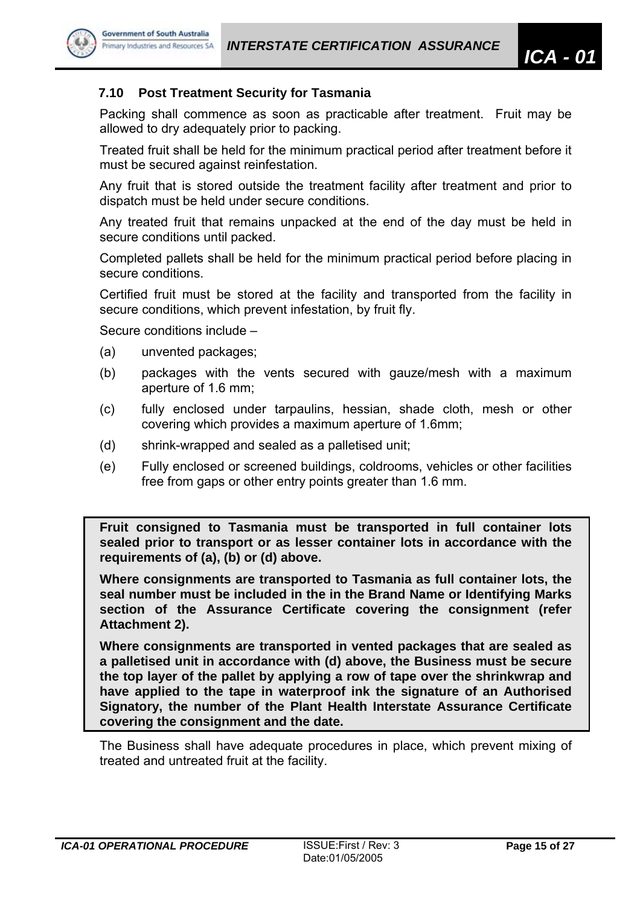

## **7.10 Post Treatment Security for Tasmania**

Packing shall commence as soon as practicable after treatment. Fruit may be allowed to dry adequately prior to packing.

Treated fruit shall be held for the minimum practical period after treatment before it must be secured against reinfestation.

Any fruit that is stored outside the treatment facility after treatment and prior to dispatch must be held under secure conditions.

Any treated fruit that remains unpacked at the end of the day must be held in secure conditions until packed.

Completed pallets shall be held for the minimum practical period before placing in secure conditions.

Certified fruit must be stored at the facility and transported from the facility in secure conditions, which prevent infestation, by fruit fly.

Secure conditions include –

- (a) unvented packages;
- (b) packages with the vents secured with gauze/mesh with a maximum aperture of 1.6 mm;
- (c) fully enclosed under tarpaulins, hessian, shade cloth, mesh or other covering which provides a maximum aperture of 1.6mm;
- (d) shrink-wrapped and sealed as a palletised unit;
- (e) Fully enclosed or screened buildings, coldrooms, vehicles or other facilities free from gaps or other entry points greater than 1.6 mm.

**Fruit consigned to Tasmania must be transported in full container lots sealed prior to transport or as lesser container lots in accordance with the requirements of (a), (b) or (d) above.** 

**Where consignments are transported to Tasmania as full container lots, the seal number must be included in the in the Brand Name or Identifying Marks section of the Assurance Certificate covering the consignment (refer Attachment 2).** 

**Where consignments are transported in vented packages that are sealed as a palletised unit in accordance with (d) above, the Business must be secure the top layer of the pallet by applying a row of tape over the shrinkwrap and have applied to the tape in waterproof ink the signature of an Authorised Signatory, the number of the Plant Health Interstate Assurance Certificate covering the consignment and the date.** 

The Business shall have adequate procedures in place, which prevent mixing of treated and untreated fruit at the facility.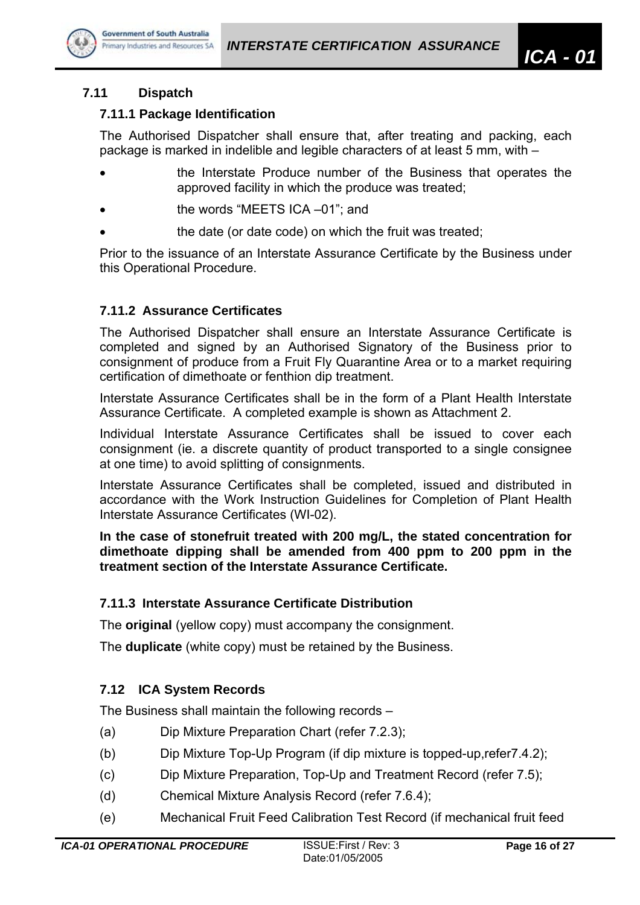

# **7.11 Dispatch**

## **7.11.1 Package Identification**

The Authorised Dispatcher shall ensure that, after treating and packing, each package is marked in indelible and legible characters of at least 5 mm, with –

- the Interstate Produce number of the Business that operates the approved facility in which the produce was treated;
- the words "MEETS ICA –01"; and
- the date (or date code) on which the fruit was treated:

Prior to the issuance of an Interstate Assurance Certificate by the Business under this Operational Procedure.

# **7.11.2 Assurance Certificates**

The Authorised Dispatcher shall ensure an Interstate Assurance Certificate is completed and signed by an Authorised Signatory of the Business prior to consignment of produce from a Fruit Fly Quarantine Area or to a market requiring certification of dimethoate or fenthion dip treatment.

Interstate Assurance Certificates shall be in the form of a Plant Health Interstate Assurance Certificate. A completed example is shown as Attachment 2.

Individual Interstate Assurance Certificates shall be issued to cover each consignment (ie. a discrete quantity of product transported to a single consignee at one time) to avoid splitting of consignments.

Interstate Assurance Certificates shall be completed, issued and distributed in accordance with the Work Instruction Guidelines for Completion of Plant Health Interstate Assurance Certificates (WI-02).

**In the case of stonefruit treated with 200 mg/L, the stated concentration for dimethoate dipping shall be amended from 400 ppm to 200 ppm in the treatment section of the Interstate Assurance Certificate.** 

# **7.11.3 Interstate Assurance Certificate Distribution**

The **original** (yellow copy) must accompany the consignment.

The **duplicate** (white copy) must be retained by the Business.

# **7.12 ICA System Records**

The Business shall maintain the following records –

- (a) Dip Mixture Preparation Chart (refer 7.2.3);
- (b) Dip Mixture Top-Up Program (if dip mixture is topped-up,refer7.4.2);
- (c) Dip Mixture Preparation, Top-Up and Treatment Record (refer 7.5);
- (d) Chemical Mixture Analysis Record (refer 7.6.4);
- (e) Mechanical Fruit Feed Calibration Test Record (if mechanical fruit feed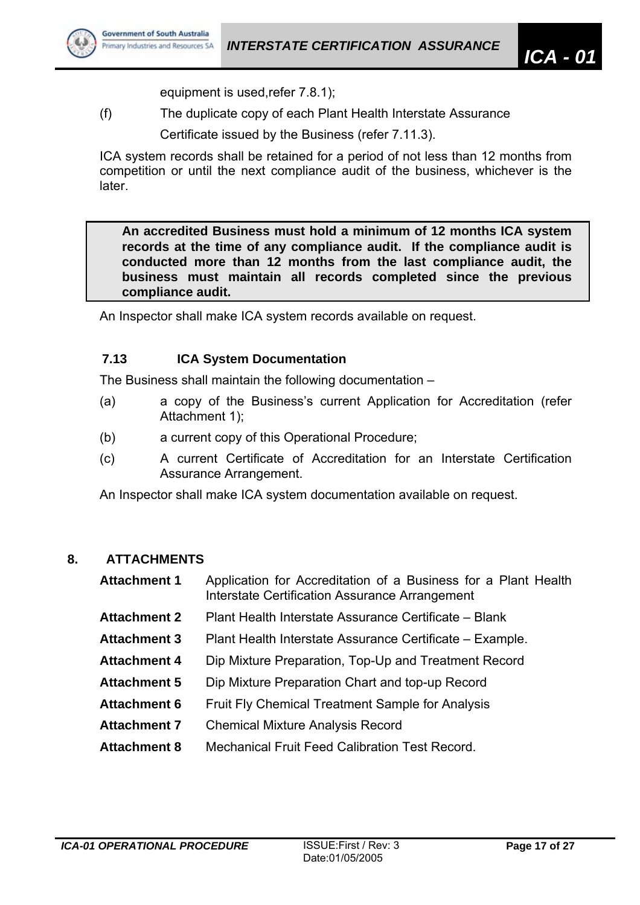

equipment is used,refer 7.8.1);

(f) The duplicate copy of each Plant Health Interstate Assurance

Certificate issued by the Business (refer 7.11.3).

ICA system records shall be retained for a period of not less than 12 months from competition or until the next compliance audit of the business, whichever is the later.

**An accredited Business must hold a minimum of 12 months ICA system records at the time of any compliance audit. If the compliance audit is conducted more than 12 months from the last compliance audit, the business must maintain all records completed since the previous compliance audit.** 

An Inspector shall make ICA system records available on request.

# **7.13 ICA System Documentation**

The Business shall maintain the following documentation –

- (a) a copy of the Business's current Application for Accreditation (refer Attachment 1);
- (b) a current copy of this Operational Procedure;
- (c) A current Certificate of Accreditation for an Interstate Certification Assurance Arrangement.

An Inspector shall make ICA system documentation available on request.

# **8. ATTACHMENTS**

- **Attachment 1** Application for Accreditation of a Business for a Plant Health Interstate Certification Assurance Arrangement
- **Attachment 2** Plant Health Interstate Assurance Certificate Blank
- **Attachment 3** Plant Health Interstate Assurance Certificate Example.
- **Attachment 4** Dip Mixture Preparation, Top-Up and Treatment Record
- **Attachment 5** Dip Mixture Preparation Chart and top-up Record
- **Attachment 6** Fruit Fly Chemical Treatment Sample for Analysis
- **Attachment 7** Chemical Mixture Analysis Record
- **Attachment 8** Mechanical Fruit Feed Calibration Test Record.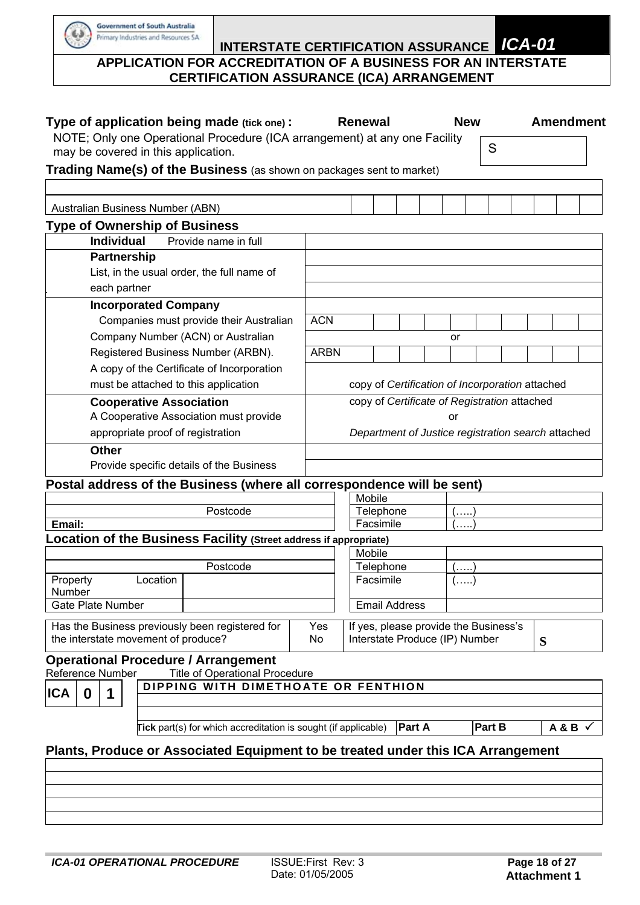$\omega$ 

# **INTERSTATE CERTIFICATION ASSURANCE** *ICA-01*  **APPLICATION FOR ACCREDITATION OF A BUSINESS FOR AN INTERSTATE CERTIFICATION ASSURANCE (ICA) ARRANGEMENT**

| Type of application being made (tick one):                                                                        |             | Renewal                                                                      |                                              |               |  |      | <b>New</b> |        |                                                 | <b>Amendment</b> |
|-------------------------------------------------------------------------------------------------------------------|-------------|------------------------------------------------------------------------------|----------------------------------------------|---------------|--|------|------------|--------|-------------------------------------------------|------------------|
| NOTE; Only one Operational Procedure (ICA arrangement) at any one Facility<br>may be covered in this application. |             |                                                                              |                                              |               |  |      |            | S      |                                                 |                  |
| Trading Name(s) of the Business (as shown on packages sent to market)                                             |             |                                                                              |                                              |               |  |      |            |        |                                                 |                  |
|                                                                                                                   |             |                                                                              |                                              |               |  |      |            |        |                                                 |                  |
|                                                                                                                   |             |                                                                              |                                              |               |  |      |            |        |                                                 |                  |
| Australian Business Number (ABN)                                                                                  |             |                                                                              |                                              |               |  |      |            |        |                                                 |                  |
| <b>Type of Ownership of Business</b>                                                                              |             |                                                                              |                                              |               |  |      |            |        |                                                 |                  |
| <b>Individual</b><br>Provide name in full                                                                         |             |                                                                              |                                              |               |  |      |            |        |                                                 |                  |
| <b>Partnership</b>                                                                                                |             |                                                                              |                                              |               |  |      |            |        |                                                 |                  |
| List, in the usual order, the full name of                                                                        |             |                                                                              |                                              |               |  |      |            |        |                                                 |                  |
| each partner                                                                                                      |             |                                                                              |                                              |               |  |      |            |        |                                                 |                  |
| <b>Incorporated Company</b>                                                                                       |             |                                                                              |                                              |               |  |      |            |        |                                                 |                  |
| Companies must provide their Australian                                                                           | <b>ACN</b>  |                                                                              |                                              |               |  |      |            |        |                                                 |                  |
| Company Number (ACN) or Australian                                                                                |             |                                                                              |                                              |               |  | or   |            |        |                                                 |                  |
| Registered Business Number (ARBN).                                                                                | <b>ARBN</b> |                                                                              |                                              |               |  |      |            |        |                                                 |                  |
| A copy of the Certificate of Incorporation                                                                        |             |                                                                              |                                              |               |  |      |            |        |                                                 |                  |
| must be attached to this application                                                                              |             |                                                                              |                                              |               |  |      |            |        | copy of Certification of Incorporation attached |                  |
| <b>Cooperative Association</b>                                                                                    |             |                                                                              | copy of Certificate of Registration attached |               |  |      |            |        |                                                 |                  |
| A Cooperative Association must provide                                                                            |             | or                                                                           |                                              |               |  |      |            |        |                                                 |                  |
| appropriate proof of registration                                                                                 |             | Department of Justice registration search attached                           |                                              |               |  |      |            |        |                                                 |                  |
| <b>Other</b>                                                                                                      |             |                                                                              |                                              |               |  |      |            |        |                                                 |                  |
| Provide specific details of the Business                                                                          |             |                                                                              |                                              |               |  |      |            |        |                                                 |                  |
| Postal address of the Business (where all correspondence will be sent)                                            |             |                                                                              |                                              |               |  |      |            |        |                                                 |                  |
|                                                                                                                   |             |                                                                              | Mobile                                       |               |  |      |            |        |                                                 |                  |
| Postcode                                                                                                          |             |                                                                              | Telephone                                    |               |  |      | $\cdots$   |        |                                                 |                  |
| Email:                                                                                                            |             |                                                                              | Facsimile                                    |               |  |      |            |        |                                                 |                  |
| Location of the Business Facility (Street address if appropriate)                                                 |             |                                                                              |                                              |               |  |      |            |        |                                                 |                  |
|                                                                                                                   |             |                                                                              | Mobile                                       |               |  |      |            |        |                                                 |                  |
| Postcode                                                                                                          |             |                                                                              | Telephone                                    |               |  | (. ) |            |        |                                                 |                  |
| Property<br>Location<br>Number                                                                                    |             |                                                                              | Facsimile                                    |               |  |      | $(\ldots)$ |        |                                                 |                  |
| <b>Gate Plate Number</b>                                                                                          |             |                                                                              | <b>Email Address</b>                         |               |  |      |            |        |                                                 |                  |
| Has the Business previously been registered for                                                                   | Yes         |                                                                              |                                              |               |  |      |            |        |                                                 |                  |
| the interstate movement of produce?                                                                               | No          | If yes, please provide the Business's<br>Interstate Produce (IP) Number<br>S |                                              |               |  |      |            |        |                                                 |                  |
| <b>Operational Procedure / Arrangement</b>                                                                        |             |                                                                              |                                              |               |  |      |            |        |                                                 |                  |
| Reference Number<br><b>Title of Operational Procedure</b><br>DIPPING WITH DIMETHOATE OR FENTHION                  |             |                                                                              |                                              |               |  |      |            |        |                                                 |                  |
| <b>ICA</b><br>0<br>1                                                                                              |             |                                                                              |                                              |               |  |      |            |        |                                                 |                  |
|                                                                                                                   |             |                                                                              |                                              |               |  |      |            |        |                                                 |                  |
| <b>Tick</b> part(s) for which accreditation is sought (if applicable)                                             |             |                                                                              |                                              | <b>Part A</b> |  |      |            | Part B |                                                 | $A & B \vee$     |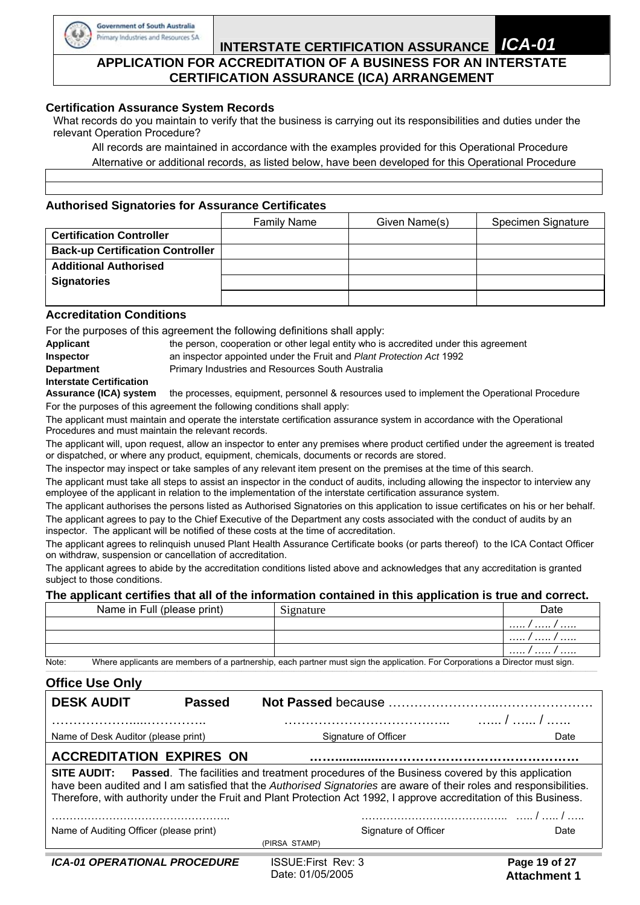

## **INTERSTATE CERTIFICATION ASSURANCE** *ICA-01*  **APPLICATION FOR ACCREDITATION OF A BUSINESS FOR AN INTERSTATE CERTIFICATION ASSURANCE (ICA) ARRANGEMENT**

#### **Certification Assurance System Records**

What records do you maintain to verify that the business is carrying out its responsibilities and duties under the relevant Operation Procedure?

 All records are maintained in accordance with the examples provided for this Operational Procedure Alternative or additional records, as listed below, have been developed for this Operational Procedure

#### **Authorised Signatories for Assurance Certificates**

|                                         | <b>Family Name</b> | Given Name(s) | Specimen Signature |
|-----------------------------------------|--------------------|---------------|--------------------|
| <b>Certification Controller</b>         |                    |               |                    |
| <b>Back-up Certification Controller</b> |                    |               |                    |
| <b>Additional Authorised</b>            |                    |               |                    |
| <b>Signatories</b>                      |                    |               |                    |
|                                         |                    |               |                    |

#### **Accreditation Conditions**

For the purposes of this agreement the following definitions shall apply:

| Applicant                       |                                                  | the person, cooperation or other legal entity who is accredited under this agreement |
|---------------------------------|--------------------------------------------------|--------------------------------------------------------------------------------------|
| <b>Inspector</b>                |                                                  | an inspector appointed under the Fruit and Plant Protection Act 1992                 |
| <b>Department</b>               | Primary Industries and Resources South Australia |                                                                                      |
| <b>Interstate Certification</b> |                                                  |                                                                                      |

**Assurance (ICA) system** the processes, equipment, personnel & resources used to implement the Operational Procedure For the purposes of this agreement the following conditions shall apply:

The applicant must maintain and operate the interstate certification assurance system in accordance with the Operational Procedures and must maintain the relevant records.

The applicant will, upon request, allow an inspector to enter any premises where product certified under the agreement is treated or dispatched, or where any product, equipment, chemicals, documents or records are stored.

The inspector may inspect or take samples of any relevant item present on the premises at the time of this search.

The applicant must take all steps to assist an inspector in the conduct of audits, including allowing the inspector to interview any employee of the applicant in relation to the implementation of the interstate certification assurance system.

The applicant authorises the persons listed as Authorised Signatories on this application to issue certificates on his or her behalf. The applicant agrees to pay to the Chief Executive of the Department any costs associated with the conduct of audits by an inspector. The applicant will be notified of these costs at the time of accreditation.

The applicant agrees to relinquish unused Plant Health Assurance Certificate books (or parts thereof) to the ICA Contact Officer on withdraw, suspension or cancellation of accreditation.

The applicant agrees to abide by the accreditation conditions listed above and acknowledges that any accreditation is granted subject to those conditions.

#### **The applicant certifies that all of the information contained in this application is true and correct.**

|       | Name in Full (please print) | Signature                                                                                                                     | Date  |
|-------|-----------------------------|-------------------------------------------------------------------------------------------------------------------------------|-------|
|       |                             |                                                                                                                               | . / / |
|       |                             |                                                                                                                               | . / / |
|       |                             |                                                                                                                               | . / / |
| Note: |                             | Where applicants are members of a partnership, each partner must sign the application. For Corporations a Director must sign. |       |

**\_\_\_\_\_\_\_\_\_\_\_\_\_\_\_\_\_\_\_\_\_\_\_\_\_\_\_\_\_\_\_\_\_\_\_\_\_\_\_\_\_\_\_\_\_\_\_\_\_\_\_\_\_\_\_\_\_\_\_\_\_\_\_\_\_\_\_\_\_\_\_\_\_\_\_\_\_\_\_\_\_\_\_\_\_\_\_\_\_\_\_\_\_\_\_\_\_\_\_\_\_\_\_\_\_\_\_\_\_\_\_\_\_\_\_\_\_\_\_\_\_\_\_\_\_\_\_\_\_\_\_\_\_\_\_\_\_\_\_\_\_\_\_\_\_\_\_\_\_\_\_\_\_\_\_\_\_\_\_\_\_\_\_\_\_\_\_\_\_\_\_\_\_\_\_\_\_\_\_\_\_\_\_\_\_\_\_\_\_\_\_\_\_\_\_\_\_\_\_\_\_\_\_\_\_\_\_\_\_\_\_\_\_\_\_\_\_\_\_\_\_\_\_\_\_\_\_\_\_\_\_** 

#### **Office Use Only**

| VIIIVY VVY VIIII                                                                                                                                                                                                                                                                                                                                            |               |                           |                      |               |  |  |  |
|-------------------------------------------------------------------------------------------------------------------------------------------------------------------------------------------------------------------------------------------------------------------------------------------------------------------------------------------------------------|---------------|---------------------------|----------------------|---------------|--|--|--|
| <b>DESK AUDIT</b>                                                                                                                                                                                                                                                                                                                                           | <b>Passed</b> |                           |                      |               |  |  |  |
|                                                                                                                                                                                                                                                                                                                                                             |               |                           |                      |               |  |  |  |
| Name of Desk Auditor (please print)                                                                                                                                                                                                                                                                                                                         |               | Signature of Officer      |                      | Date          |  |  |  |
| <b>ACCREDITATION EXPIRES ON</b>                                                                                                                                                                                                                                                                                                                             |               |                           |                      |               |  |  |  |
| <b>SITE AUDIT:</b> Passed. The facilities and treatment procedures of the Business covered by this application<br>have been audited and I am satisfied that the Authorised Signatories are aware of their roles and responsibilities.<br>Therefore, with authority under the Fruit and Plant Protection Act 1992, I approve accreditation of this Business. |               |                           |                      |               |  |  |  |
|                                                                                                                                                                                                                                                                                                                                                             |               |                           |                      |               |  |  |  |
| Name of Auditing Officer (please print)                                                                                                                                                                                                                                                                                                                     |               |                           | Signature of Officer | Date          |  |  |  |
|                                                                                                                                                                                                                                                                                                                                                             |               | (PIRSA STAMP)             |                      |               |  |  |  |
| <b>ICA-01 OPERATIONAL PROCEDURE</b>                                                                                                                                                                                                                                                                                                                         |               | <b>ISSUE:First Rev: 3</b> |                      | Page 19 of 27 |  |  |  |

Date: 01/05/2005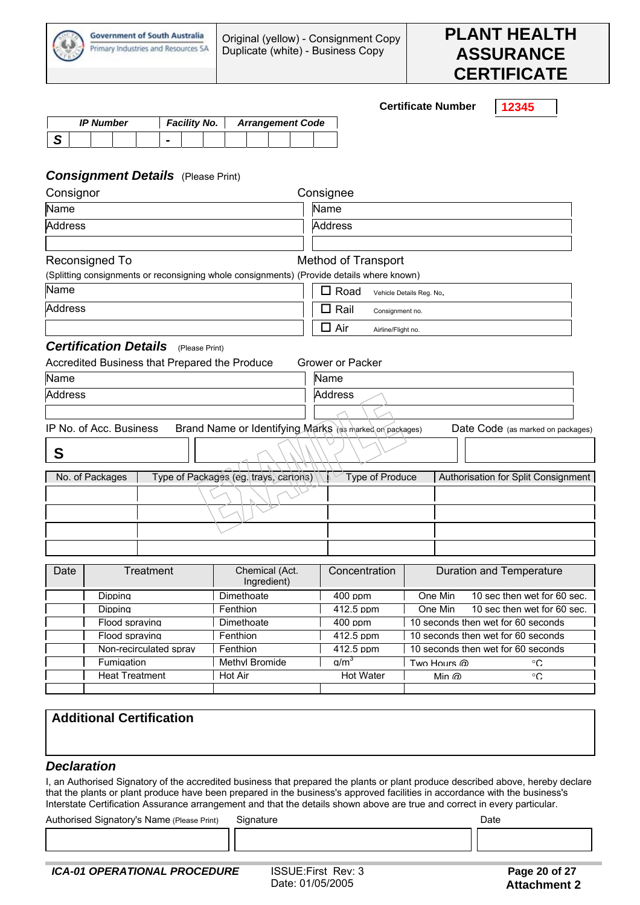



**Certificate Number 12345** 

| <b>IP Number</b> |  |  | <b>Facility No.</b> |  |  | <b>Arrangement Code</b> |  |  |  |  |  |  |
|------------------|--|--|---------------------|--|--|-------------------------|--|--|--|--|--|--|
|                  |  |  |                     |  |  |                         |  |  |  |  |  |  |

#### *Consignment Details* (Please Print)

| Consignor      |                              |                                               |                                                                                           | Consignee                         |                          |                                     |  |  |  |
|----------------|------------------------------|-----------------------------------------------|-------------------------------------------------------------------------------------------|-----------------------------------|--------------------------|-------------------------------------|--|--|--|
| Name           |                              |                                               |                                                                                           | Name                              |                          |                                     |  |  |  |
| <b>Address</b> |                              |                                               |                                                                                           | <b>Address</b>                    |                          |                                     |  |  |  |
|                | Reconsigned To               |                                               | (Splitting consignments or reconsigning whole consignments) (Provide details where known) | <b>Method of Transport</b>        |                          |                                     |  |  |  |
| Name           |                              |                                               |                                                                                           | $\Box$ Road                       | Vehicle Details Reg. No. |                                     |  |  |  |
| <b>Address</b> |                              |                                               |                                                                                           | Rail<br>$\Box$<br>Consignment no. |                          |                                     |  |  |  |
|                |                              |                                               |                                                                                           | $\Box$ Air<br>Airline/Flight no.  |                          |                                     |  |  |  |
|                | <b>Certification Details</b> | (Please Print)                                |                                                                                           |                                   |                          |                                     |  |  |  |
|                |                              | Accredited Business that Prepared the Produce |                                                                                           | Grower or Packer                  |                          |                                     |  |  |  |
| Name           |                              |                                               |                                                                                           | Name                              |                          |                                     |  |  |  |
| <b>Address</b> |                              |                                               |                                                                                           | <b>Address</b>                    |                          |                                     |  |  |  |
|                |                              |                                               |                                                                                           |                                   |                          |                                     |  |  |  |
|                | IP No. of Acc. Business      |                                               | Brand Name or Identifying Marks (as marked on packages)                                   |                                   |                          | Date Code (as marked on packages)   |  |  |  |
| S              |                              |                                               |                                                                                           |                                   |                          |                                     |  |  |  |
|                | No. of Packages              |                                               | Type of Packages (eg. trays, cartons)                                                     | Type of Produce                   |                          | Authorisation for Split Consignment |  |  |  |
|                |                              |                                               |                                                                                           |                                   |                          |                                     |  |  |  |
|                |                              |                                               |                                                                                           |                                   |                          |                                     |  |  |  |
|                |                              |                                               |                                                                                           |                                   |                          |                                     |  |  |  |
|                |                              |                                               |                                                                                           |                                   |                          |                                     |  |  |  |
| Date           |                              | Chemical (Act.<br>Treatment<br>Ingredient)    |                                                                                           | Concentration                     |                          | Duration and Temperature            |  |  |  |
|                | Dipping                      |                                               | Dimethoate                                                                                | $400$ ppm                         | One Min                  | 10 sec then wet for 60 sec.         |  |  |  |
|                |                              |                                               |                                                                                           |                                   |                          |                                     |  |  |  |

| Didding                | Dimethoate     | 400 DDNI         | One Min      | TO SEC then wet for by sec.        |
|------------------------|----------------|------------------|--------------|------------------------------------|
| <b>Dipping</b>         | Fenthion       | 412.5 ppm        | One Min      | 10 sec then wet for 60 sec.        |
| Flood spraving         | Dimethoate     | $400$ ppm        |              | 10 seconds then wet for 60 seconds |
| Flood spraving         | Fenthion       | 412.5 ppm        |              | 10 seconds then wet for 60 seconds |
| Non-recirculated spray | Fenthion       | 412.5 ppm        |              | 10 seconds then wet for 60 seconds |
| <b>Fumigation</b>      | Methyl Bromide | a/m <sup>3</sup> | Two Hours @  | °C                                 |
| <b>Heat Treatment</b>  | Hot Air        | Hot Water        | Min $\omega$ | °C                                 |
|                        |                |                  |              |                                    |

#### **Additional Certification**

#### *Declaration*

I, an Authorised Signatory of the accredited business that prepared the plants or plant produce described above, hereby declare that the plants or plant produce have been prepared in the business's approved facilities in accordance with the business's Interstate Certification Assurance arrangement and that the details shown above are true and correct in every particular.

Authorised Signatory's Name (Please Print) Signature Communication Content Content Content Content Content Conte

 $\overline{\phantom{a}}$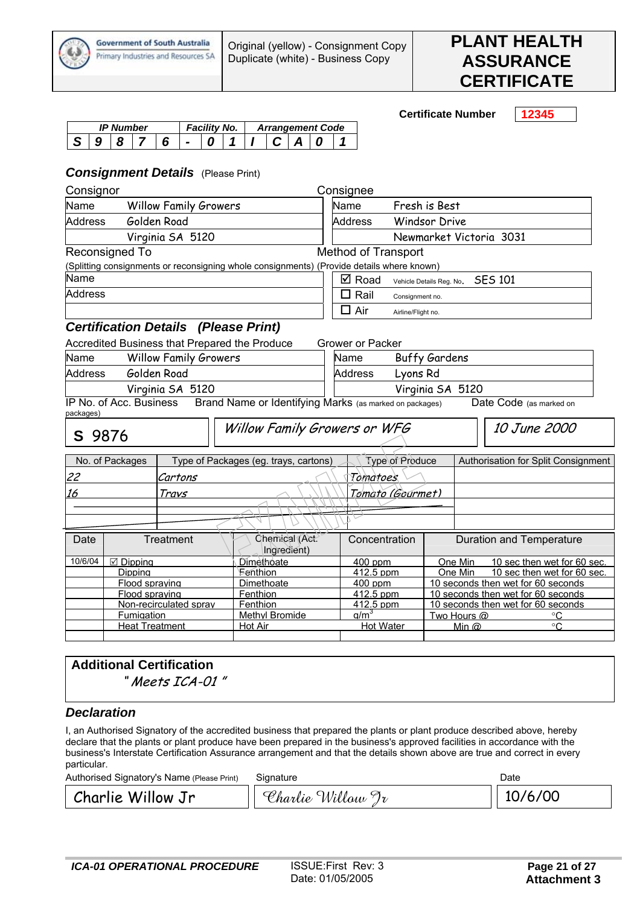

**Certificate Number 12345** 

| <b>IP Number</b><br><sup>-</sup> acility No. |  |  |  | <b>Arrangement Code</b> |  |  |  |  |  |  |
|----------------------------------------------|--|--|--|-------------------------|--|--|--|--|--|--|
|                                              |  |  |  |                         |  |  |  |  |  |  |

#### *Consignment Details* (Please Print)

| Consignor                                          |                         |                                               |                                                                                           |                  | Consignee                     |                    |                                    |                                                  |                                     |  |
|----------------------------------------------------|-------------------------|-----------------------------------------------|-------------------------------------------------------------------------------------------|------------------|-------------------------------|--------------------|------------------------------------|--------------------------------------------------|-------------------------------------|--|
| Name                                               |                         | <b>Willow Family Growers</b>                  |                                                                                           | Name             |                               |                    | Fresh is Best                      |                                                  |                                     |  |
| <b>Address</b>                                     |                         | Golden Road                                   |                                                                                           |                  | <b>Address</b>                |                    | <b>Windsor Drive</b>               |                                                  |                                     |  |
|                                                    |                         | Virginia SA 5120                              |                                                                                           |                  |                               |                    |                                    |                                                  | Newmarket Victoria 3031             |  |
|                                                    | Reconsigned To          |                                               |                                                                                           |                  | <b>Method of Transport</b>    |                    |                                    |                                                  |                                     |  |
|                                                    |                         |                                               | (Splitting consignments or reconsigning whole consignments) (Provide details where known) |                  |                               |                    |                                    |                                                  |                                     |  |
| Name                                               |                         |                                               |                                                                                           |                  | $\boxtimes$ Road              |                    | Vehicle Details Reg. No.           |                                                  | <b>SES 101</b>                      |  |
| <b>Address</b>                                     |                         |                                               |                                                                                           | п                | Rail                          | Consignment no.    |                                    |                                                  |                                     |  |
|                                                    |                         |                                               |                                                                                           |                  | $\square$ Air                 | Airline/Flight no. |                                    |                                                  |                                     |  |
|                                                    |                         | <b>Certification Details (Please Print)</b>   |                                                                                           |                  |                               |                    |                                    |                                                  |                                     |  |
|                                                    |                         | Accredited Business that Prepared the Produce |                                                                                           |                  | <b>Grower or Packer</b>       |                    |                                    |                                                  |                                     |  |
| Name                                               |                         | <b>Willow Family Growers</b>                  |                                                                                           |                  | Name                          |                    | <b>Buffy Gardens</b>               |                                                  |                                     |  |
| <b>Address</b>                                     |                         | Golden Road                                   |                                                                                           |                  | <b>Address</b><br>Lyons Rd    |                    |                                    |                                                  |                                     |  |
|                                                    |                         | Virginia SA 5120                              |                                                                                           | Virginia SA 5120 |                               |                    |                                    |                                                  |                                     |  |
|                                                    | IP No. of Acc. Business |                                               | Brand Name or Identifying Marks (as marked on packages)                                   |                  |                               |                    |                                    |                                                  | Date Code (as marked on             |  |
| packages)                                          |                         |                                               |                                                                                           |                  |                               |                    |                                    |                                                  |                                     |  |
| S 9876                                             |                         |                                               | Willow Family Growers or WFG                                                              |                  |                               |                    |                                    |                                                  | 10 June 2000                        |  |
|                                                    | No. of Packages         |                                               | Type of Packages (eg. trays, cartons)                                                     |                  |                               | Type of Produce    |                                    |                                                  | Authorisation for Split Consignment |  |
| 22                                                 |                         | Cartons                                       |                                                                                           |                  | Tomatoes                      |                    |                                    |                                                  |                                     |  |
| 16                                                 |                         | Travs                                         |                                                                                           |                  | Tomato (Gourmet)              |                    |                                    |                                                  |                                     |  |
|                                                    |                         |                                               |                                                                                           |                  |                               |                    |                                    |                                                  |                                     |  |
|                                                    |                         |                                               |                                                                                           |                  |                               |                    |                                    |                                                  |                                     |  |
| Treatment<br>Chemical (Act.<br>Date<br>Ingredient) |                         |                                               |                                                                                           | Concentration    |                               |                    |                                    | Duration and Temperature                         |                                     |  |
| 10/6/04<br>Dimethoate<br>☑ Dipping                 |                         |                                               |                                                                                           | 400 ppm          | One Min                       |                    | 10 sec then wet for 60 sec.        |                                                  |                                     |  |
| Fenthion<br>Dipping                                |                         |                                               |                                                                                           | 412.5 ppm        |                               | One Min            |                                    | 10 sec then wet for 60 sec.                      |                                     |  |
|                                                    | Flood spraving          |                                               | Dimethoate                                                                                |                  | 400 ppm                       |                    |                                    |                                                  | 10 seconds then wet for 60 seconds  |  |
|                                                    | Flood spraving          |                                               | Fenthion                                                                                  |                  | 412.5 ppm                     |                    |                                    |                                                  | 10 seconds then wet for 60 seconds  |  |
|                                                    | Fumigation              | Non-recirculated sprav                        | Fenthion<br><b>Methyl Bromide</b>                                                         |                  | 412.5 ppm<br>a/m <sup>3</sup> |                    | 10 seconds then wet for 60 seconds |                                                  |                                     |  |
|                                                    | <b>Heat Treatment</b>   |                                               | Hot Air                                                                                   |                  | <b>Hot Water</b>              |                    |                                    | Two Hours @<br>°C<br>$^{\circ}C$<br>Min $\omega$ |                                     |  |
|                                                    |                         |                                               |                                                                                           |                  |                               |                    |                                    |                                                  |                                     |  |

# **Additional Certification**

" Meets ICA-01 "

#### *Declaration*

I, an Authorised Signatory of the accredited business that prepared the plants or plant produce described above, hereby declare that the plants or plant produce have been prepared in the business's approved facilities in accordance with the business's Interstate Certification Assurance arrangement and that the details shown above are true and correct in every particular.

| Authorised Signatory's Name (Please Print) | Signature         | Date    |  |  |
|--------------------------------------------|-------------------|---------|--|--|
| Charlie Willow Jr                          | Charlie Willow Jr | 10/6/00 |  |  |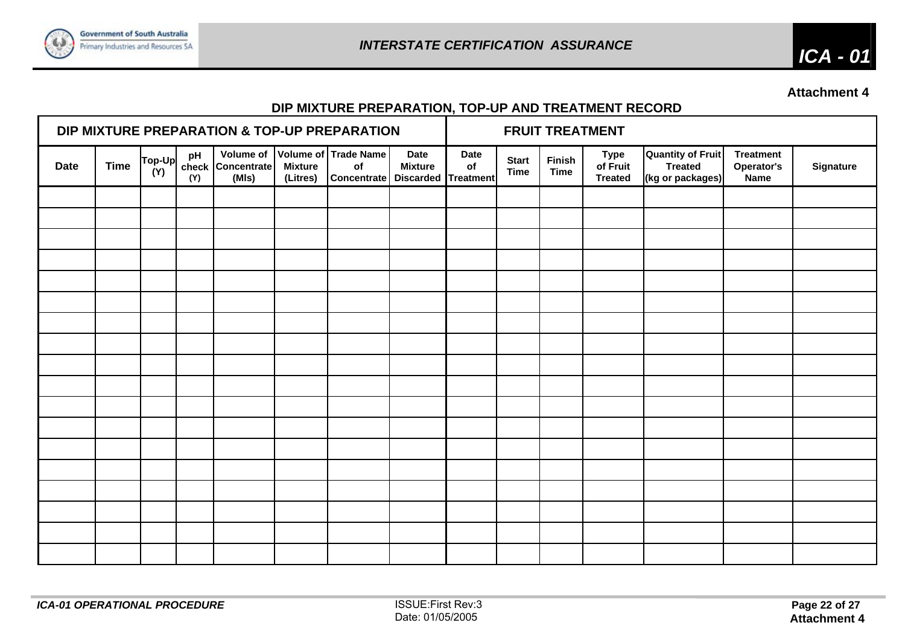

*ICA - 01* 

**Attachment 4** 

# **DIP MIXTURE PREPARATION, TOP-UP AND TREATMENT RECORD**

| DIP MIXTURE PREPARATION & TOP-UP PREPARATION |             |               |           |                            |                            |                                                                           |                               |                   |                             | <b>FRUIT TREATMENT</b> |                                           |                                                                |                                        |           |
|----------------------------------------------|-------------|---------------|-----------|----------------------------|----------------------------|---------------------------------------------------------------------------|-------------------------------|-------------------|-----------------------------|------------------------|-------------------------------------------|----------------------------------------------------------------|----------------------------------------|-----------|
| <b>Date</b>                                  | <b>Time</b> | Top-Up<br>(Y) | pH<br>(Y) | check Concentrate<br>(MIs) | <b>Mixture</b><br>(Litres) | Volume of Volume of Trade Name<br>of<br>Concentrate   Discarded Treatment | <b>Date</b><br><b>Mixture</b> | <b>Date</b><br>of | <b>Start</b><br><b>Time</b> | Finish<br><b>Time</b>  | <b>Type</b><br>of Fruit<br><b>Treated</b> | <b>Quantity of Fruit</b><br><b>Treated</b><br>(kg or packages) | <b>Treatment</b><br>Operator's<br>Name | Signature |
|                                              |             |               |           |                            |                            |                                                                           |                               |                   |                             |                        |                                           |                                                                |                                        |           |
|                                              |             |               |           |                            |                            |                                                                           |                               |                   |                             |                        |                                           |                                                                |                                        |           |
|                                              |             |               |           |                            |                            |                                                                           |                               |                   |                             |                        |                                           |                                                                |                                        |           |
|                                              |             |               |           |                            |                            |                                                                           |                               |                   |                             |                        |                                           |                                                                |                                        |           |
|                                              |             |               |           |                            |                            |                                                                           |                               |                   |                             |                        |                                           |                                                                |                                        |           |
|                                              |             |               |           |                            |                            |                                                                           |                               |                   |                             |                        |                                           |                                                                |                                        |           |
|                                              |             |               |           |                            |                            |                                                                           |                               |                   |                             |                        |                                           |                                                                |                                        |           |
|                                              |             |               |           |                            |                            |                                                                           |                               |                   |                             |                        |                                           |                                                                |                                        |           |
|                                              |             |               |           |                            |                            |                                                                           |                               |                   |                             |                        |                                           |                                                                |                                        |           |
|                                              |             |               |           |                            |                            |                                                                           |                               |                   |                             |                        |                                           |                                                                |                                        |           |
|                                              |             |               |           |                            |                            |                                                                           |                               |                   |                             |                        |                                           |                                                                |                                        |           |
|                                              |             |               |           |                            |                            |                                                                           |                               |                   |                             |                        |                                           |                                                                |                                        |           |
|                                              |             |               |           |                            |                            |                                                                           |                               |                   |                             |                        |                                           |                                                                |                                        |           |
|                                              |             |               |           |                            |                            |                                                                           |                               |                   |                             |                        |                                           |                                                                |                                        |           |
|                                              |             |               |           |                            |                            |                                                                           |                               |                   |                             |                        |                                           |                                                                |                                        |           |
|                                              |             |               |           |                            |                            |                                                                           |                               |                   |                             |                        |                                           |                                                                |                                        |           |
|                                              |             |               |           |                            |                            |                                                                           |                               |                   |                             |                        |                                           |                                                                |                                        |           |
|                                              |             |               |           |                            |                            |                                                                           |                               |                   |                             |                        |                                           |                                                                |                                        |           |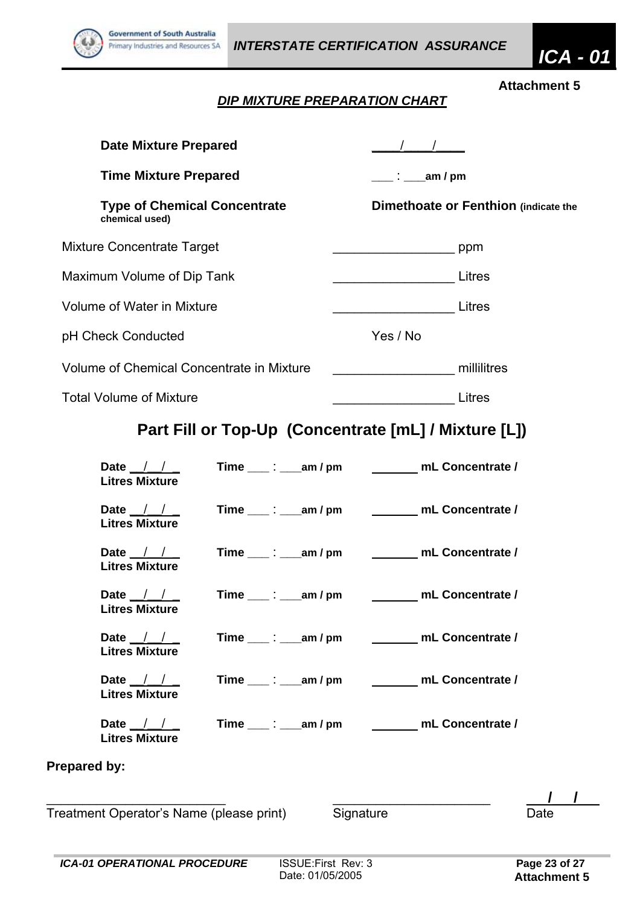

# *DIP MIXTURE PREPARATION CHART*

| <b>Date Mixture Prepared</b>                              |                                                     |                                                       |
|-----------------------------------------------------------|-----------------------------------------------------|-------------------------------------------------------|
| <b>Time Mixture Prepared</b>                              |                                                     | ____ : _____ am / pm                                  |
| <b>Type of Chemical Concentrate</b><br>chemical used)     |                                                     | Dimethoate or Fenthion (indicate the                  |
| <b>Mixture Concentrate Target</b>                         |                                                     |                                                       |
| Maximum Volume of Dip Tank                                |                                                     | Litres                                                |
| <b>Volume of Water in Mixture</b>                         |                                                     | <u>Litres</u>                                         |
| pH Check Conducted                                        |                                                     | Yes / No                                              |
| Volume of Chemical Concentrate in Mixture                 |                                                     |                                                       |
| <b>Total Volume of Mixture</b>                            |                                                     | Litres                                                |
|                                                           |                                                     | Part Fill or Top-Up (Concentrate [mL] / Mixture [L])  |
| Date $\frac{1}{1}$ $\frac{1}{1}$<br><b>Litres Mixture</b> | $Time \_\_\_\_\_\_\_\_\_\$ am / pm                  | mL Concentrate /                                      |
| Date $\frac{1}{1}$<br><b>Litres Mixture</b>               |                                                     | Time ____: ____ am / pm __________ mL Concentrate /   |
| Date $\frac{1}{1}$<br><b>Litres Mixture</b>               | Time $\qquad \qquad \vdots$ $\qquad \qquad$ am / pm | ________ mL Concentrate /                             |
| Date $\frac{1}{1}$<br><b>Litres Mixture</b>               | $Time \_\_\_\$ : ____ am / pm                       | mL Concentrate /                                      |
| Date $\frac{1}{1}$<br><b>Litres Mixture</b>               | Time $\_\_\rightleftharpoons\_\_\_$ am / pm         | mL Concentrate /                                      |
| Date $\frac{1}{1}$<br><b>Litres Mixture</b>               |                                                     | Time ____: ____ am / pm ____________ mL Concentrate / |
| Date $\frac{1}{1}$<br><b>Litres Mixture</b>               |                                                     | Time ____: ____ am / pm __________ mL Concentrate /   |
| <b>Prepared by:</b>                                       |                                                     |                                                       |
| Treatment Operator's Name (please print)                  |                                                     | Signature<br>Date                                     |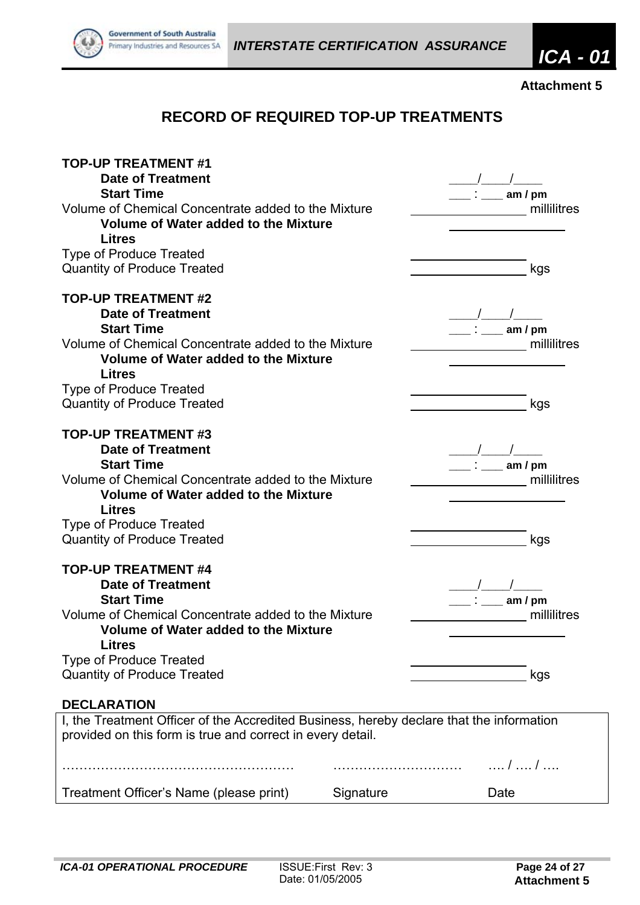

# **RECORD OF REQUIRED TOP-UP TREATMENTS**

| <b>TOP-UP TREATMENT #1</b><br><b>Date of Treatment</b>                                   |           |             |
|------------------------------------------------------------------------------------------|-----------|-------------|
| <b>Start Time</b>                                                                        |           | am $/$ pm   |
| Volume of Chemical Concentrate added to the Mixture                                      |           | millilitres |
| <b>Volume of Water added to the Mixture</b>                                              |           |             |
| <b>Litres</b>                                                                            |           |             |
| <b>Type of Produce Treated</b>                                                           |           |             |
| <b>Quantity of Produce Treated</b>                                                       |           | kgs         |
|                                                                                          |           |             |
| <b>TOP-UP TREATMENT #2</b>                                                               |           |             |
| <b>Date of Treatment</b>                                                                 |           |             |
| <b>Start Time</b>                                                                        |           | am $/$ pm   |
| Volume of Chemical Concentrate added to the Mixture                                      |           | millilitres |
| Volume of Water added to the Mixture                                                     |           |             |
| <b>Litres</b>                                                                            |           |             |
| <b>Type of Produce Treated</b>                                                           |           |             |
| <b>Quantity of Produce Treated</b>                                                       |           | kgs         |
|                                                                                          |           |             |
| <b>TOP-UP TREATMENT #3</b>                                                               |           |             |
| <b>Date of Treatment</b>                                                                 |           |             |
| <b>Start Time</b>                                                                        |           | am / pm     |
| Volume of Chemical Concentrate added to the Mixture                                      |           | millilitres |
| <b>Volume of Water added to the Mixture</b>                                              |           |             |
| <b>Litres</b>                                                                            |           |             |
| <b>Type of Produce Treated</b>                                                           |           |             |
| <b>Quantity of Produce Treated</b>                                                       |           | kgs         |
| <b>TOP-UP TREATMENT #4</b>                                                               |           |             |
| <b>Date of Treatment</b>                                                                 |           |             |
| <b>Start Time</b>                                                                        |           | am / $pm$   |
| Volume of Chemical Concentrate added to the Mixture                                      |           | millilitres |
| <b>Volume of Water added to the Mixture</b>                                              |           |             |
| <b>Litres</b>                                                                            |           |             |
| <b>Type of Produce Treated</b>                                                           |           |             |
| <b>Quantity of Produce Treated</b>                                                       |           | kgs         |
|                                                                                          |           |             |
| <b>DECLARATION</b>                                                                       |           |             |
| I, the Treatment Officer of the Accredited Business, hereby declare that the information |           |             |
| provided on this form is true and correct in every detail.                               |           |             |
|                                                                                          |           |             |
|                                                                                          |           | /  /        |
| Treatment Officer's Name (please print)                                                  | Signature | Date        |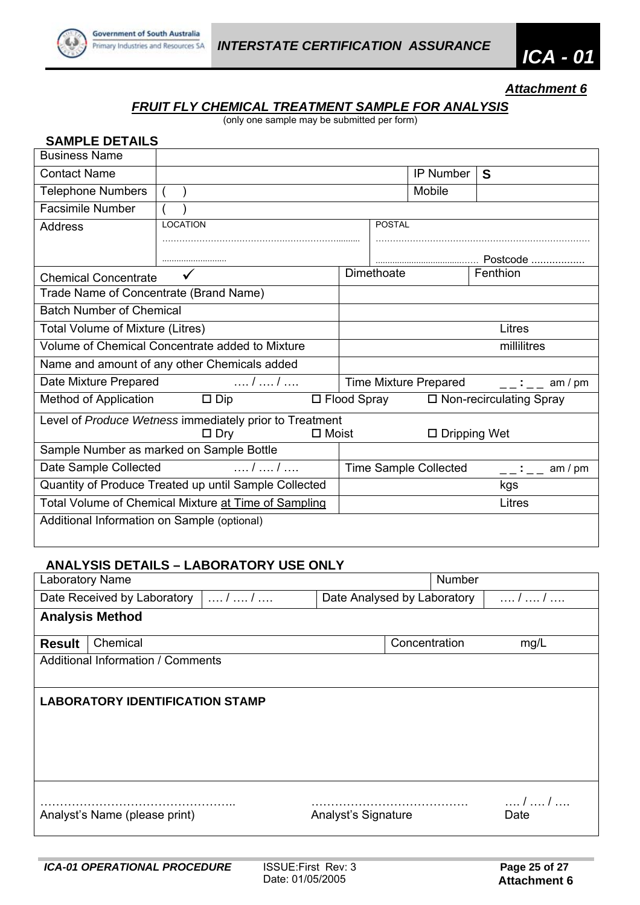

## *FRUIT FLY CHEMICAL TREATMENT SAMPLE FOR ANALYSIS*

(only one sample may be submitted per form)

| <b>SAMPLE DETAILS</b>                                 |                                                         |              |             |                    |                              |                           |                             |
|-------------------------------------------------------|---------------------------------------------------------|--------------|-------------|--------------------|------------------------------|---------------------------|-----------------------------|
| <b>Business Name</b>                                  |                                                         |              |             |                    |                              |                           |                             |
| <b>Contact Name</b>                                   |                                                         |              |             |                    | IP Number                    | S                         |                             |
| <b>Telephone Numbers</b>                              |                                                         |              |             |                    | Mobile                       |                           |                             |
| <b>Facsimile Number</b>                               |                                                         |              |             |                    |                              |                           |                             |
| <b>Address</b>                                        | <b>LOCATION</b>                                         |              |             | <b>POSTAL</b>      |                              |                           |                             |
|                                                       |                                                         |              |             |                    |                              |                           |                             |
|                                                       |                                                         |              |             |                    |                              |                           |                             |
| <b>Chemical Concentrate</b>                           |                                                         |              |             | Dimethoate         |                              | Fenthion                  |                             |
| Trade Name of Concentrate (Brand Name)                |                                                         |              |             |                    |                              |                           |                             |
| <b>Batch Number of Chemical</b>                       |                                                         |              |             |                    |                              |                           |                             |
| Total Volume of Mixture (Litres)                      |                                                         |              |             |                    |                              | Litres                    |                             |
|                                                       | Volume of Chemical Concentrate added to Mixture         |              | millilitres |                    |                              |                           |                             |
|                                                       | Name and amount of any other Chemicals added            |              |             |                    |                              |                           |                             |
| Date Mixture Prepared                                 | $\ldots l \ldots l \ldots$                              |              |             |                    | Time Mixture Prepared        |                           | $\frac{\ }{\ }$ : _ am / pm |
| Method of Application                                 | $\square$ Dip                                           |              |             | $\Box$ Flood Spray |                              | □ Non-recirculating Spray |                             |
|                                                       | Level of Produce Wetness immediately prior to Treatment |              |             |                    |                              |                           |                             |
|                                                       | $\Box$ Dry                                              | $\Box$ Moist |             |                    | $\Box$ Dripping Wet          |                           |                             |
|                                                       | Sample Number as marked on Sample Bottle                |              |             |                    |                              |                           |                             |
| Date Sample Collected                                 | /  /                                                    |              |             |                    | <b>Time Sample Collected</b> |                           | $---$ : $---$ am / pm       |
| Quantity of Produce Treated up until Sample Collected | kgs                                                     |              |             |                    |                              |                           |                             |
| Total Volume of Chemical Mixture at Time of Sampling  |                                                         |              |             | Litres             |                              |                           |                             |
| Additional Information on Sample (optional)           |                                                         |              |             |                    |                              |                           |                             |
|                                                       |                                                         |              |             |                    |                              |                           |                             |

#### **ANALYSIS DETAILS – LABORATORY USE ONLY**

| <b>Laboratory Name</b> |                                          |         | <b>Number</b>               |      |              |  |  |
|------------------------|------------------------------------------|---------|-----------------------------|------|--------------|--|--|
|                        | Date Received by Laboratory              | $/$ $/$ | Date Analysed by Laboratory | /  / |              |  |  |
|                        | <b>Analysis Method</b>                   |         |                             |      |              |  |  |
| <b>Result</b>          | Chemical                                 |         | Concentration               |      | mg/L         |  |  |
|                        | <b>Additional Information / Comments</b> |         |                             |      |              |  |  |
|                        | <b>LABORATORY IDENTIFICATION STAMP</b>   |         |                             |      |              |  |  |
|                        | Analyst's Name (please print)            |         | Analyst's Signature         |      | /  /<br>Date |  |  |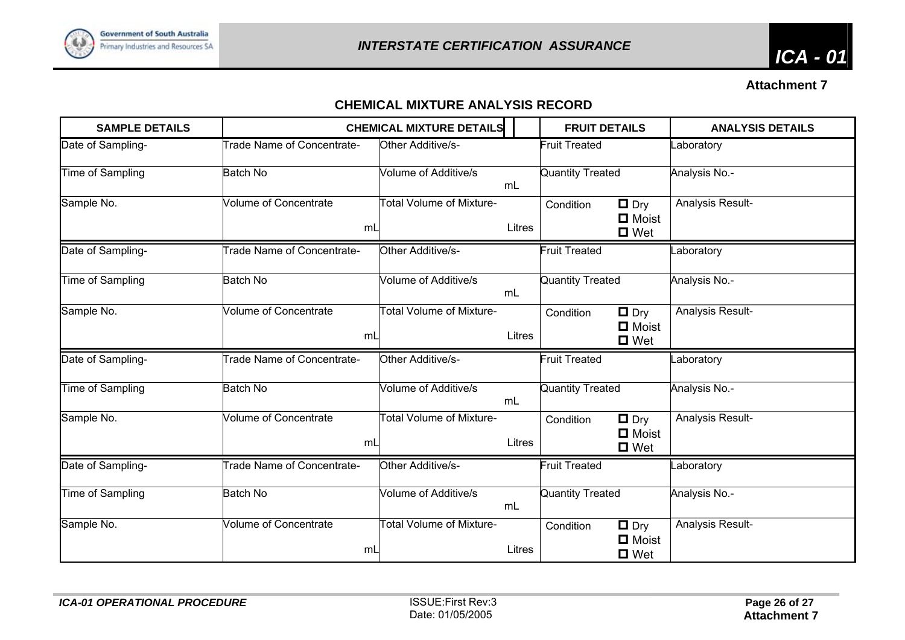

# **CHEMICAL MIXTURE ANALYSIS RECORD**

| <b>SAMPLE DETAILS</b> |                                    | <b>CHEMICAL MIXTURE DETAILS</b> |        | <b>FRUIT DETAILS</b>                                                  | <b>ANALYSIS DETAILS</b> |
|-----------------------|------------------------------------|---------------------------------|--------|-----------------------------------------------------------------------|-------------------------|
| Date of Sampling-     | <b>Trade Name of Concentrate-</b>  | Other Additive/s-               |        | <b>Fruit Treated</b>                                                  | _aboratory              |
| Time of Sampling      | <b>Batch No</b>                    | Volume of Additive/s            | mL     | Quantity Treated                                                      | Analysis No.-           |
| Sample No.            | <b>Volume of Concentrate</b><br>mL | <b>Total Volume of Mixture-</b> | Litres | $\Box$ Dry<br>Condition<br>$\blacksquare$ Moist<br>$\Box$ Wet         | Analysis Result-        |
| Date of Sampling-     | <b>Trade Name of Concentrate-</b>  | Other Additive/s-               |        | <b>Fruit Treated</b>                                                  | _aboratory              |
| Time of Sampling      | <b>Batch No</b>                    | Volume of Additive/s            | mL     | <b>Quantity Treated</b>                                               | Analysis No.-           |
| Sample No.            | <b>Volume of Concentrate</b><br>mL | <b>Total Volume of Mixture-</b> | Litres | $\Box$ Dry<br>Condition<br><b>□</b> Moist<br>$\Box$ Wet               | Analysis Result-        |
| Date of Sampling-     | <b>Trade Name of Concentrate-</b>  | Other Additive/s-               |        | <b>Fruit Treated</b>                                                  | _aboratory              |
| Time of Sampling      | <b>Batch No</b>                    | Volume of Additive/s            | mL     | <b>Quantity Treated</b>                                               | Analysis No.-           |
| Sample No.            | <b>Volume of Concentrate</b><br>mL | <b>Total Volume of Mixture-</b> | Litres | $\blacksquare$ Dry<br>Condition<br><b>D</b> Moist<br>$\Box$ Wet       | Analysis Result-        |
| Date of Sampling-     | Trade Name of Concentrate-         | Other Additive/s-               |        | <b>Fruit Treated</b>                                                  | _aboratory              |
| Time of Sampling      | <b>Batch No</b>                    | <b>Volume of Additive/s</b>     | mL     | Quantity Treated                                                      | Analysis No.-           |
| Sample No.            | <b>Volume of Concentrate</b><br>mL | <b>Total Volume of Mixture-</b> | Litres | $\Box$ Dry<br>Condition<br>$\blacksquare$ Moist<br>$\blacksquare$ Wet | Analysis Result-        |